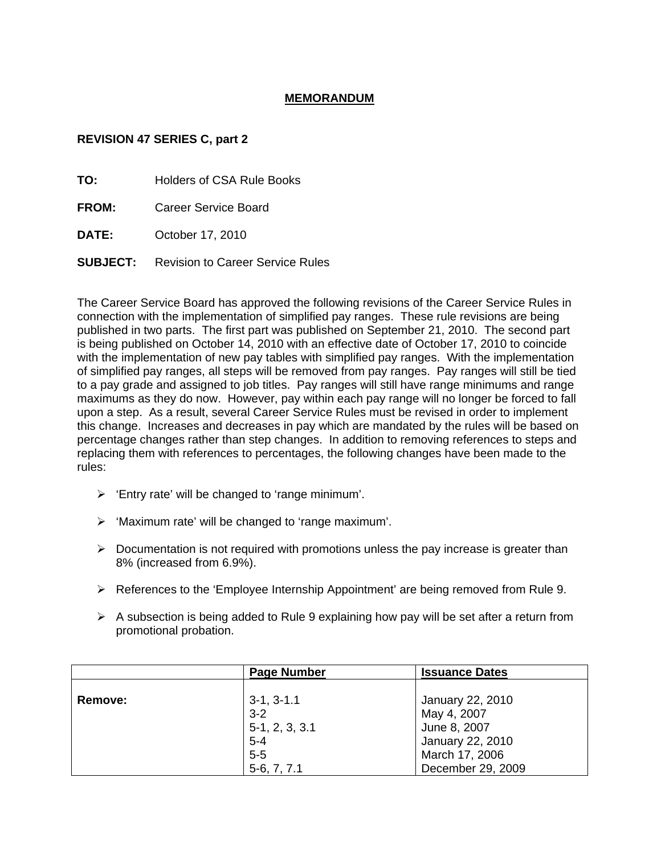#### **MEMORANDUM**

#### **REVISION 47 SERIES C, part 2**

**TO:** Holders of CSA Rule Books

**FROM:** Career Service Board

**DATE:** October 17, 2010

**SUBJECT:** Revision to Career Service Rules

The Career Service Board has approved the following revisions of the Career Service Rules in connection with the implementation of simplified pay ranges. These rule revisions are being published in two parts. The first part was published on September 21, 2010. The second part is being published on October 14, 2010 with an effective date of October 17, 2010 to coincide with the implementation of new pay tables with simplified pay ranges. With the implementation of simplified pay ranges, all steps will be removed from pay ranges. Pay ranges will still be tied to a pay grade and assigned to job titles. Pay ranges will still have range minimums and range maximums as they do now. However, pay within each pay range will no longer be forced to fall upon a step. As a result, several Career Service Rules must be revised in order to implement this change. Increases and decreases in pay which are mandated by the rules will be based on percentage changes rather than step changes. In addition to removing references to steps and replacing them with references to percentages, the following changes have been made to the rules:

- $\triangleright$  'Entry rate' will be changed to 'range minimum'.
- $\triangleright$  'Maximum rate' will be changed to 'range maximum'.
- $\triangleright$  Documentation is not required with promotions unless the pay increase is greater than 8% (increased from 6.9%).
- $\triangleright$  References to the 'Employee Internship Appointment' are being removed from Rule 9.
- $\triangleright$  A subsection is being added to Rule 9 explaining how pay will be set after a return from promotional probation.

|                | <b>Page Number</b> | <b>Issuance Dates</b> |  |
|----------------|--------------------|-----------------------|--|
|                |                    |                       |  |
| <b>Remove:</b> | $3-1, 3-1.1$       | January 22, 2010      |  |
|                | $3 - 2$            | May 4, 2007           |  |
|                | $5-1, 2, 3, 3.1$   | June 8, 2007          |  |
|                | $5 - 4$            | January 22, 2010      |  |
|                | $5 - 5$            | March 17, 2006        |  |
|                | $5-6, 7, 7.1$      | December 29, 2009     |  |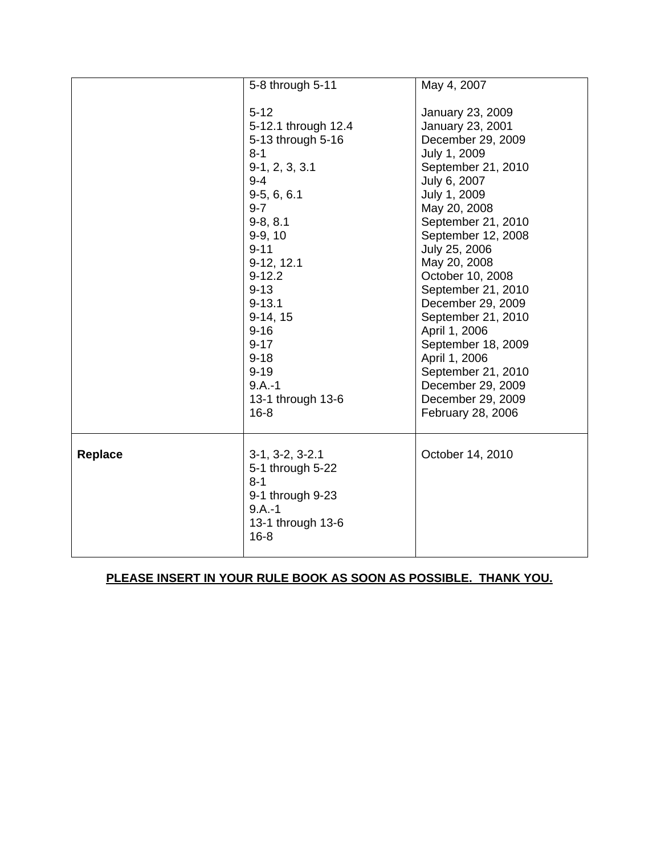|         | 5-8 through 5-11                      | May 4, 2007        |
|---------|---------------------------------------|--------------------|
|         |                                       |                    |
|         | $5 - 12$                              | January 23, 2009   |
|         | 5-12.1 through 12.4                   | January 23, 2001   |
|         | 5-13 through 5-16                     | December 29, 2009  |
|         | $8 - 1$                               | July 1, 2009       |
|         | $9-1, 2, 3, 3.1$                      | September 21, 2010 |
|         | $9 - 4$                               | July 6, 2007       |
|         | $9-5, 6, 6.1$                         | July 1, 2009       |
|         | $9 - 7$                               | May 20, 2008       |
|         | $9-8, 8.1$                            | September 21, 2010 |
|         | $9-9, 10$                             | September 12, 2008 |
|         | $9 - 11$                              | July 25, 2006      |
|         | 9-12, 12.1                            | May 20, 2008       |
|         | $9 - 12.2$                            | October 10, 2008   |
|         | $9 - 13$                              | September 21, 2010 |
|         | $9 - 13.1$                            | December 29, 2009  |
|         | $9-14, 15$                            | September 21, 2010 |
|         | $9 - 16$                              | April 1, 2006      |
|         | $9 - 17$                              | September 18, 2009 |
|         | $9 - 18$                              | April 1, 2006      |
|         | $9 - 19$                              | September 21, 2010 |
|         | $9.A.-1$                              | December 29, 2009  |
|         | 13-1 through 13-6                     | December 29, 2009  |
|         | $16 - 8$                              | February 28, 2006  |
|         |                                       |                    |
| Replace | $3-1, 3-2, 3-2.1$<br>5-1 through 5-22 | October 14, 2010   |
|         | $8 - 1$                               |                    |
|         | 9-1 through 9-23                      |                    |
|         | $9.A.-1$                              |                    |
|         | 13-1 through 13-6                     |                    |
|         | $16 - 8$                              |                    |
|         |                                       |                    |

# **PLEASE INSERT IN YOUR RULE BOOK AS SOON AS POSSIBLE. THANK YOU.**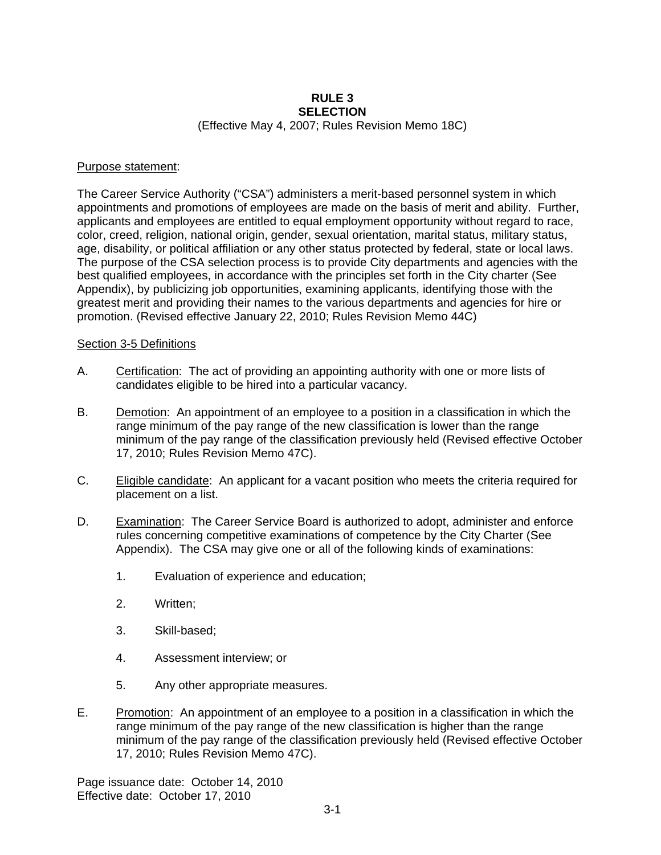## **RULE 3 SELECTION**

(Effective May 4, 2007; Rules Revision Memo 18C)

#### Purpose statement:

The Career Service Authority ("CSA") administers a merit-based personnel system in which appointments and promotions of employees are made on the basis of merit and ability. Further, applicants and employees are entitled to equal employment opportunity without regard to race, color, creed, religion, national origin, gender, sexual orientation, marital status, military status, age, disability, or political affiliation or any other status protected by federal, state or local laws. The purpose of the CSA selection process is to provide City departments and agencies with the best qualified employees, in accordance with the principles set forth in the City charter (See Appendix), by publicizing job opportunities, examining applicants, identifying those with the greatest merit and providing their names to the various departments and agencies for hire or promotion. (Revised effective January 22, 2010; Rules Revision Memo 44C)

#### Section 3-5 Definitions

- A. Certification: The act of providing an appointing authority with one or more lists of candidates eligible to be hired into a particular vacancy.
- B. Demotion: An appointment of an employee to a position in a classification in which the range minimum of the pay range of the new classification is lower than the range minimum of the pay range of the classification previously held (Revised effective October 17, 2010; Rules Revision Memo 47C).
- C. Eligible candidate: An applicant for a vacant position who meets the criteria required for placement on a list.
- D. Examination: The Career Service Board is authorized to adopt, administer and enforce rules concerning competitive examinations of competence by the City Charter (See Appendix). The CSA may give one or all of the following kinds of examinations:
	- 1. Evaluation of experience and education;
	- 2. Written;
	- 3. Skill-based;
	- 4. Assessment interview; or
	- 5. Any other appropriate measures.
- E. Promotion: An appointment of an employee to a position in a classification in which the range minimum of the pay range of the new classification is higher than the range minimum of the pay range of the classification previously held (Revised effective October 17, 2010; Rules Revision Memo 47C).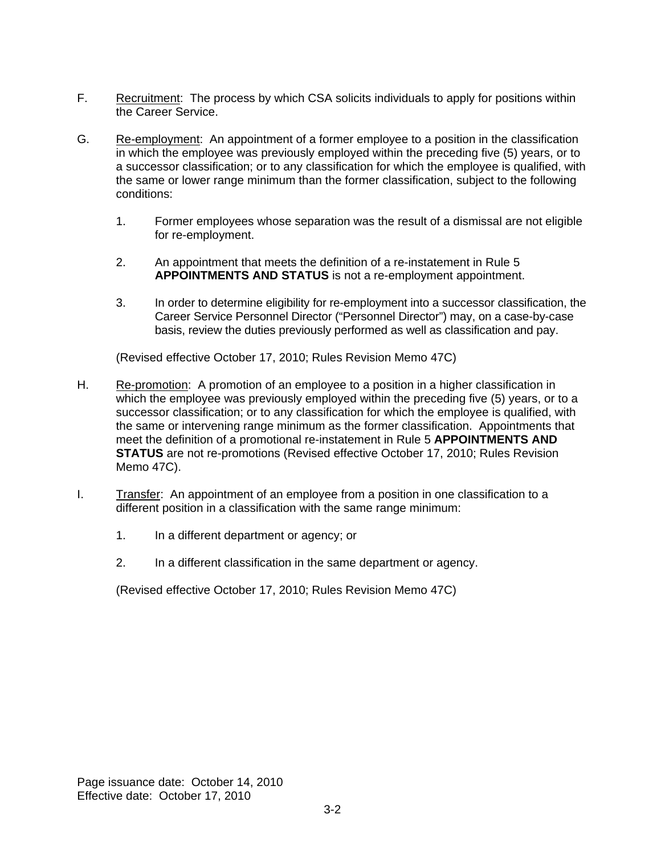- F. Recruitment: The process by which CSA solicits individuals to apply for positions within the Career Service.
- G. Re-employment: An appointment of a former employee to a position in the classification in which the employee was previously employed within the preceding five (5) years, or to a successor classification; or to any classification for which the employee is qualified, with the same or lower range minimum than the former classification, subject to the following conditions:
	- 1. Former employees whose separation was the result of a dismissal are not eligible for re-employment.
	- 2. An appointment that meets the definition of a re-instatement in Rule 5 **APPOINTMENTS AND STATUS** is not a re-employment appointment.
	- 3. In order to determine eligibility for re-employment into a successor classification, the Career Service Personnel Director ("Personnel Director") may, on a case-by-case basis, review the duties previously performed as well as classification and pay.

(Revised effective October 17, 2010; Rules Revision Memo 47C)

- H. Re-promotion: A promotion of an employee to a position in a higher classification in which the employee was previously employed within the preceding five (5) years, or to a successor classification; or to any classification for which the employee is qualified, with the same or intervening range minimum as the former classification. Appointments that meet the definition of a promotional re-instatement in Rule 5 **APPOINTMENTS AND STATUS** are not re-promotions (Revised effective October 17, 2010; Rules Revision Memo 47C).
- I. Transfer: An appointment of an employee from a position in one classification to a different position in a classification with the same range minimum:
	- 1. In a different department or agency; or
	- 2. In a different classification in the same department or agency.

(Revised effective October 17, 2010; Rules Revision Memo 47C)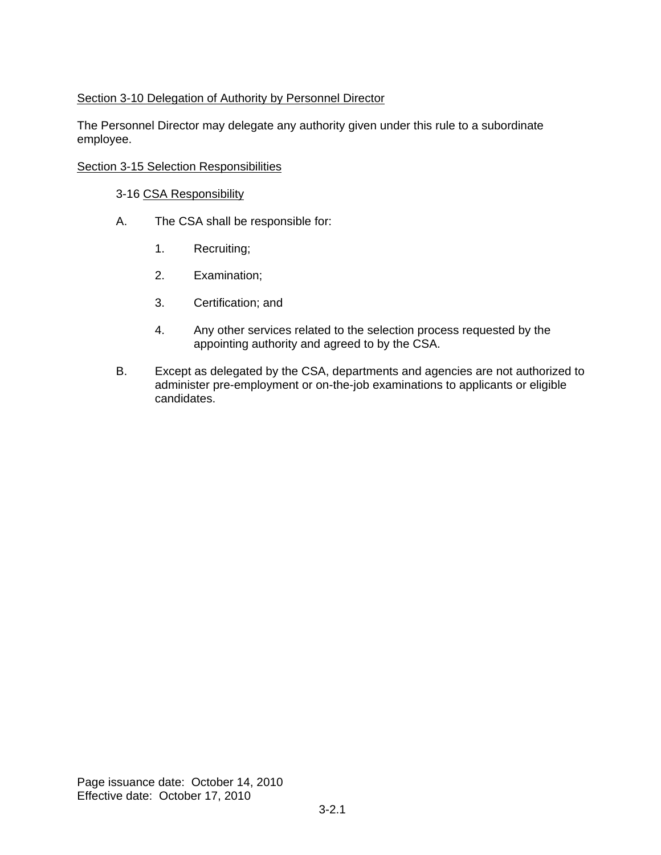### Section 3-10 Delegation of Authority by Personnel Director

The Personnel Director may delegate any authority given under this rule to a subordinate employee.

### Section 3-15 Selection Responsibilities

#### 3-16 CSA Responsibility

- A. The CSA shall be responsible for:
	- 1. Recruiting;
	- 2. Examination;
	- 3. Certification; and
	- 4. Any other services related to the selection process requested by the appointing authority and agreed to by the CSA.
- B. Except as delegated by the CSA, departments and agencies are not authorized to administer pre-employment or on-the-job examinations to applicants or eligible candidates.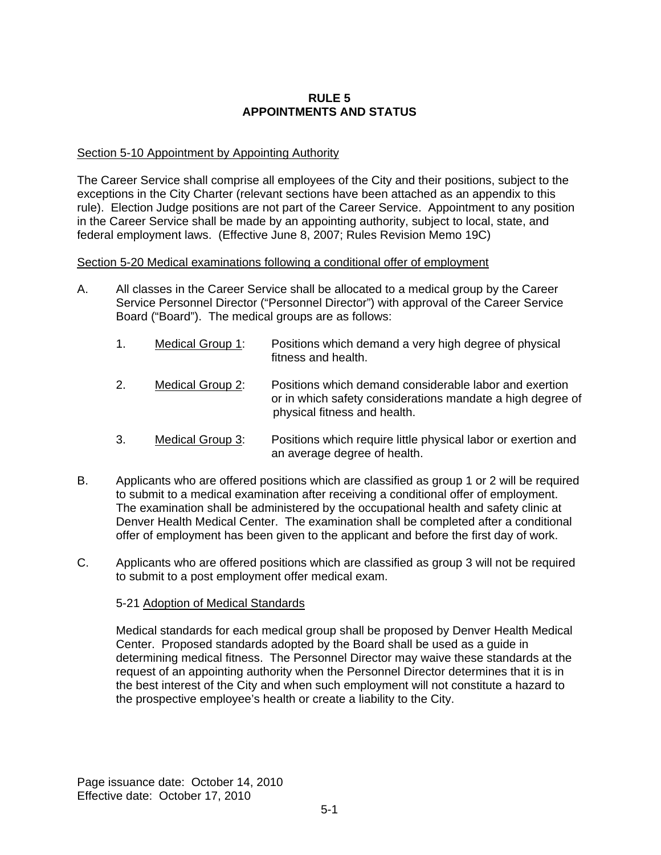#### **RULE 5 APPOINTMENTS AND STATUS**

#### Section 5-10 Appointment by Appointing Authority

The Career Service shall comprise all employees of the City and their positions, subject to the exceptions in the City Charter (relevant sections have been attached as an appendix to this rule). Election Judge positions are not part of the Career Service. Appointment to any position in the Career Service shall be made by an appointing authority, subject to local, state, and federal employment laws. (Effective June 8, 2007; Rules Revision Memo 19C)

#### Section 5-20 Medical examinations following a conditional offer of employment

- A. All classes in the Career Service shall be allocated to a medical group by the Career Service Personnel Director ("Personnel Director") with approval of the Career Service Board ("Board"). The medical groups are as follows:
	- 1. Medical Group 1: Positions which demand a very high degree of physical fitness and health.
	- 2. Medical Group 2: Positions which demand considerable labor and exertion or in which safety considerations mandate a high degree of physical fitness and health.
	- 3. Medical Group 3: Positions which require little physical labor or exertion and an average degree of health.
- B. Applicants who are offered positions which are classified as group 1 or 2 will be required to submit to a medical examination after receiving a conditional offer of employment. The examination shall be administered by the occupational health and safety clinic at Denver Health Medical Center. The examination shall be completed after a conditional offer of employment has been given to the applicant and before the first day of work.
- C. Applicants who are offered positions which are classified as group 3 will not be required to submit to a post employment offer medical exam.

#### 5-21 Adoption of Medical Standards

Medical standards for each medical group shall be proposed by Denver Health Medical Center. Proposed standards adopted by the Board shall be used as a guide in determining medical fitness. The Personnel Director may waive these standards at the request of an appointing authority when the Personnel Director determines that it is in the best interest of the City and when such employment will not constitute a hazard to the prospective employee's health or create a liability to the City.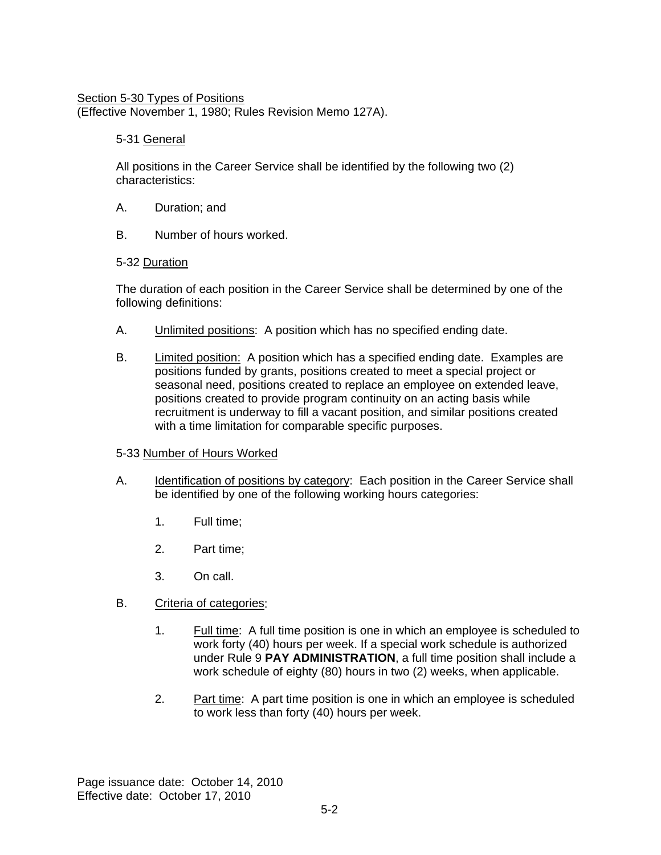## Section 5-30 Types of Positions

(Effective November 1, 1980; Rules Revision Memo 127A).

### 5-31 General

All positions in the Career Service shall be identified by the following two (2) characteristics:

- A. Duration; and
- B. Number of hours worked.

### 5-32 Duration

The duration of each position in the Career Service shall be determined by one of the following definitions:

- A. Unlimited positions: A position which has no specified ending date.
- B. Limited position: A position which has a specified ending date. Examples are positions funded by grants, positions created to meet a special project or seasonal need, positions created to replace an employee on extended leave, positions created to provide program continuity on an acting basis while recruitment is underway to fill a vacant position, and similar positions created with a time limitation for comparable specific purposes.

### 5-33 Number of Hours Worked

- A. Identification of positions by category: Each position in the Career Service shall be identified by one of the following working hours categories:
	- 1. Full time;
	- 2. Part time;
	- 3. On call.
- B. Criteria of categories:
	- 1. Full time: A full time position is one in which an employee is scheduled to work forty (40) hours per week. If a special work schedule is authorized under Rule 9 **PAY ADMINISTRATION**, a full time position shall include a work schedule of eighty (80) hours in two (2) weeks, when applicable.
	- 2. Part time: A part time position is one in which an employee is scheduled to work less than forty (40) hours per week.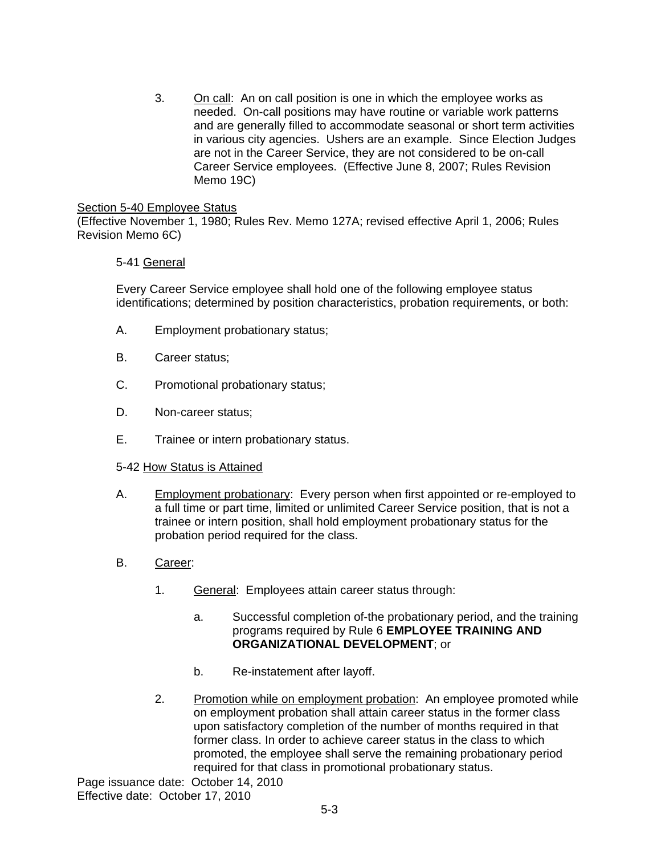3. On call: An on call position is one in which the employee works as needed. On-call positions may have routine or variable work patterns and are generally filled to accommodate seasonal or short term activities in various city agencies. Ushers are an example. Since Election Judges are not in the Career Service, they are not considered to be on-call Career Service employees. (Effective June 8, 2007; Rules Revision Memo 19C)

#### Section 5-40 Employee Status

(Effective November 1, 1980; Rules Rev. Memo 127A; revised effective April 1, 2006; Rules Revision Memo 6C)

### 5-41 General

Every Career Service employee shall hold one of the following employee status identifications; determined by position characteristics, probation requirements, or both:

- A. Employment probationary status;
- B. Career status;
- C. Promotional probationary status;
- D. Non-career status;
- E. Trainee or intern probationary status.

#### 5-42 How Status is Attained

- A. Employment probationary: Every person when first appointed or re-employed to a full time or part time, limited or unlimited Career Service position, that is not a trainee or intern position, shall hold employment probationary status for the probation period required for the class.
- B. Career:
	- 1. General: Employees attain career status through:
		- a. Successful completion of-the probationary period, and the training programs required by Rule 6 **EMPLOYEE TRAINING AND ORGANIZATIONAL DEVELOPMENT**; or
		- b. Re-instatement after layoff.
	- 2. Promotion while on employment probation: An employee promoted while on employment probation shall attain career status in the former class upon satisfactory completion of the number of months required in that former class. In order to achieve career status in the class to which promoted, the employee shall serve the remaining probationary period required for that class in promotional probationary status.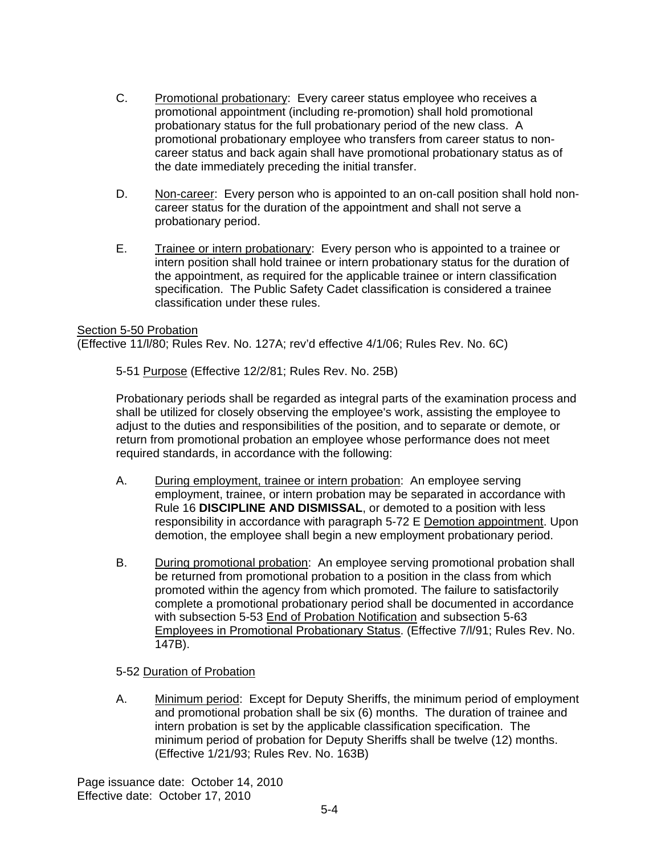- C. Promotional probationary: Every career status employee who receives a promotional appointment (including re-promotion) shall hold promotional probationary status for the full probationary period of the new class. A promotional probationary employee who transfers from career status to noncareer status and back again shall have promotional probationary status as of the date immediately preceding the initial transfer.
- D. Non-career: Every person who is appointed to an on-call position shall hold noncareer status for the duration of the appointment and shall not serve a probationary period.
- E. Trainee or intern probationary: Every person who is appointed to a trainee or intern position shall hold trainee or intern probationary status for the duration of the appointment, as required for the applicable trainee or intern classification specification. The Public Safety Cadet classification is considered a trainee classification under these rules.

#### Section 5-50 Probation

(Effective 11/l/80; Rules Rev. No. 127A; rev'd effective 4/1/06; Rules Rev. No. 6C)

5-51 Purpose (Effective 12/2/81; Rules Rev. No. 25B)

Probationary periods shall be regarded as integral parts of the examination process and shall be utilized for closely observing the employee's work, assisting the employee to adjust to the duties and responsibilities of the position, and to separate or demote, or return from promotional probation an employee whose performance does not meet required standards, in accordance with the following:

- A. During employment, trainee or intern probation: An employee serving employment, trainee, or intern probation may be separated in accordance with Rule 16 **DISCIPLINE AND DISMISSAL**, or demoted to a position with less responsibility in accordance with paragraph 5-72 E Demotion appointment. Upon demotion, the employee shall begin a new employment probationary period.
- B. During promotional probation: An employee serving promotional probation shall be returned from promotional probation to a position in the class from which promoted within the agency from which promoted. The failure to satisfactorily complete a promotional probationary period shall be documented in accordance with subsection 5-53 End of Probation Notification and subsection 5-63 Employees in Promotional Probationary Status. (Effective 7/l/91; Rules Rev. No. 147B).

### 5-52 Duration of Probation

A. Minimum period: Except for Deputy Sheriffs, the minimum period of employment and promotional probation shall be six (6) months. The duration of trainee and intern probation is set by the applicable classification specification. The minimum period of probation for Deputy Sheriffs shall be twelve (12) months. (Effective 1/21/93; Rules Rev. No. 163B)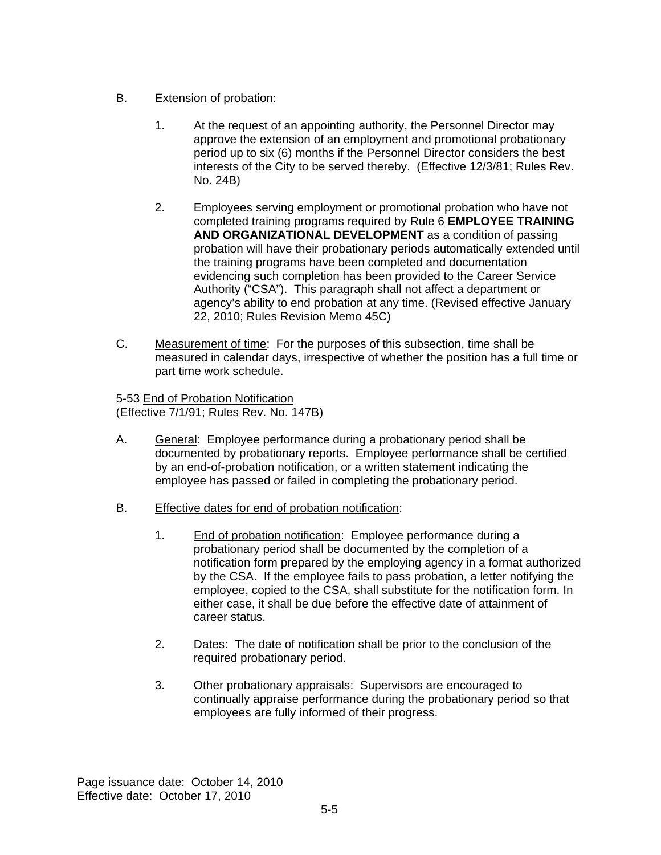## B. Extension of probation:

- 1. At the request of an appointing authority, the Personnel Director may approve the extension of an employment and promotional probationary period up to six (6) months if the Personnel Director considers the best interests of the City to be served thereby. (Effective 12/3/81; Rules Rev. No. 24B)
- 2. Employees serving employment or promotional probation who have not completed training programs required by Rule 6 **EMPLOYEE TRAINING AND ORGANIZATIONAL DEVELOPMENT** as a condition of passing probation will have their probationary periods automatically extended until the training programs have been completed and documentation evidencing such completion has been provided to the Career Service Authority ("CSA"). This paragraph shall not affect a department or agency's ability to end probation at any time. (Revised effective January 22, 2010; Rules Revision Memo 45C)
- C. Measurement of time: For the purposes of this subsection, time shall be measured in calendar days, irrespective of whether the position has a full time or part time work schedule.

5-53 End of Probation Notification (Effective 7/1/91; Rules Rev. No. 147B)

- A. General: Employee performance during a probationary period shall be documented by probationary reports. Employee performance shall be certified by an end-of-probation notification, or a written statement indicating the employee has passed or failed in completing the probationary period.
- B. Effective dates for end of probation notification:
	- 1. End of probation notification: Employee performance during a probationary period shall be documented by the completion of a notification form prepared by the employing agency in a format authorized by the CSA. If the employee fails to pass probation, a letter notifying the employee, copied to the CSA, shall substitute for the notification form. In either case, it shall be due before the effective date of attainment of career status.
	- 2. Dates: The date of notification shall be prior to the conclusion of the required probationary period.
	- 3. Other probationary appraisals: Supervisors are encouraged to continually appraise performance during the probationary period so that employees are fully informed of their progress.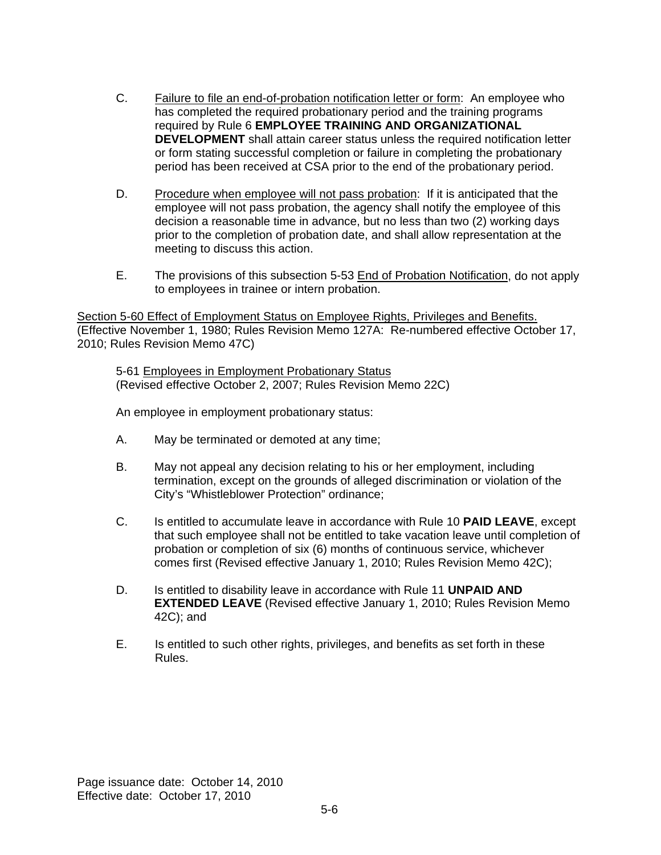- C. Failure to file an end-of-probation notification letter or form: An employee who has completed the required probationary period and the training programs required by Rule 6 **EMPLOYEE TRAINING AND ORGANIZATIONAL DEVELOPMENT** shall attain career status unless the required notification letter or form stating successful completion or failure in completing the probationary period has been received at CSA prior to the end of the probationary period.
- D. Procedure when employee will not pass probation: If it is anticipated that the employee will not pass probation, the agency shall notify the employee of this decision a reasonable time in advance, but no less than two (2) working days prior to the completion of probation date, and shall allow representation at the meeting to discuss this action.
- E. The provisions of this subsection 5-53 End of Probation Notification, do not apply to employees in trainee or intern probation.

Section 5-60 Effect of Employment Status on Employee Rights, Privileges and Benefits. (Effective November 1, 1980; Rules Revision Memo 127A: Re-numbered effective October 17, 2010; Rules Revision Memo 47C)

5-61 Employees in Employment Probationary Status (Revised effective October 2, 2007; Rules Revision Memo 22C)

An employee in employment probationary status:

- A. May be terminated or demoted at any time;
- B. May not appeal any decision relating to his or her employment, including termination, except on the grounds of alleged discrimination or violation of the City's "Whistleblower Protection" ordinance;
- C. Is entitled to accumulate leave in accordance with Rule 10 **PAID LEAVE**, except that such employee shall not be entitled to take vacation leave until completion of probation or completion of six (6) months of continuous service, whichever comes first (Revised effective January 1, 2010; Rules Revision Memo 42C);
- D. Is entitled to disability leave in accordance with Rule 11 **UNPAID AND EXTENDED LEAVE** (Revised effective January 1, 2010; Rules Revision Memo 42C); and
- E. Is entitled to such other rights, privileges, and benefits as set forth in these Rules.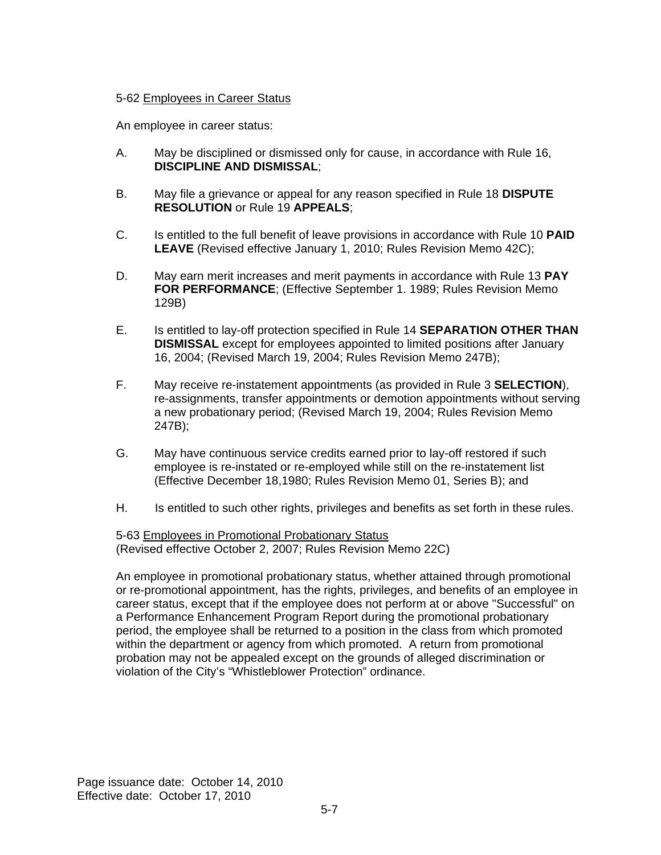### 5-62 Employees in Career Status

An employee in career status:

- A. May be disciplined or dismissed only for cause, in accordance with Rule 16, **DISCIPLINE AND DISMISSAL**;
- B. May file a grievance or appeal for any reason specified in Rule 18 **DISPUTE RESOLUTION** or Rule 19 **APPEALS**;
- C. Is entitled to the full benefit of leave provisions in accordance with Rule 10 **PAID LEAVE** (Revised effective January 1, 2010; Rules Revision Memo 42C);
- D. May earn merit increases and merit payments in accordance with Rule 13 **PAY FOR PERFORMANCE**; (Effective September 1. 1989; Rules Revision Memo 129B)
- E. Is entitled to lay-off protection specified in Rule 14 **SEPARATION OTHER THAN DISMISSAL** except for employees appointed to limited positions after January 16, 2004; (Revised March 19, 2004; Rules Revision Memo 247B);
- F. May receive re-instatement appointments (as provided in Rule 3 **SELECTION**), re-assignments, transfer appointments or demotion appointments without serving a new probationary period; (Revised March 19, 2004; Rules Revision Memo 247B);
- G. May have continuous service credits earned prior to lay-off restored if such employee is re-instated or re-employed while still on the re-instatement list (Effective December 18,1980; Rules Revision Memo 01, Series B); and
- H. Is entitled to such other rights, privileges and benefits as set forth in these rules.

5-63 Employees in Promotional Probationary Status (Revised effective October 2, 2007; Rules Revision Memo 22C)

An employee in promotional probationary status, whether attained through promotional or re-promotional appointment, has the rights, privileges, and benefits of an employee in career status, except that if the employee does not perform at or above "Successful" on a Performance Enhancement Program Report during the promotional probationary period, the employee shall be returned to a position in the class from which promoted within the department or agency from which promoted. A return from promotional probation may not be appealed except on the grounds of alleged discrimination or violation of the City's "Whistleblower Protection" ordinance.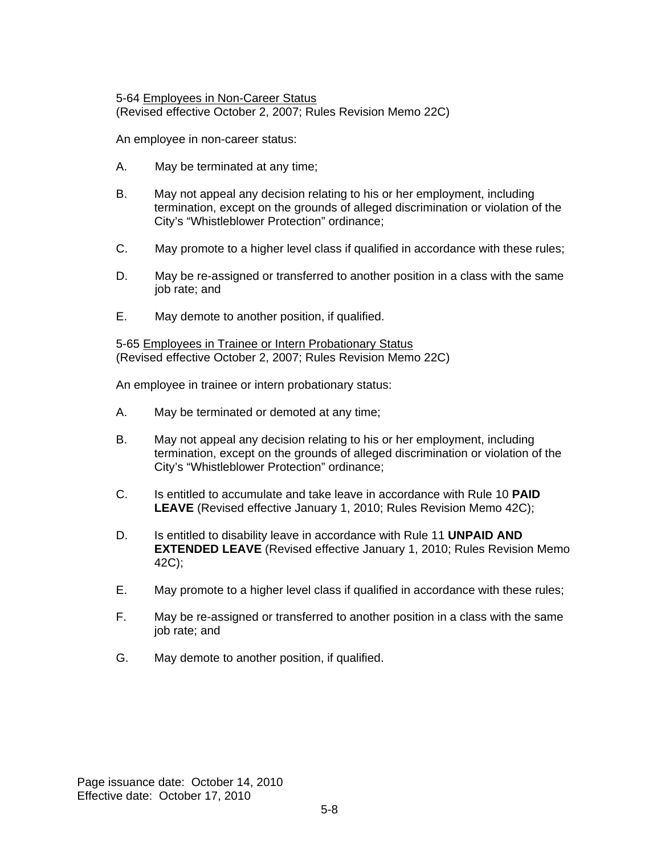5-64 Employees in Non-Career Status (Revised effective October 2, 2007; Rules Revision Memo 22C)

An employee in non-career status:

- A. May be terminated at any time;
- B. May not appeal any decision relating to his or her employment, including termination, except on the grounds of alleged discrimination or violation of the City's "Whistleblower Protection" ordinance;
- C. May promote to a higher level class if qualified in accordance with these rules;
- D. May be re-assigned or transferred to another position in a class with the same job rate; and
- E. May demote to another position, if qualified.

5-65 Employees in Trainee or Intern Probationary Status (Revised effective October 2, 2007; Rules Revision Memo 22C)

An employee in trainee or intern probationary status:

- A. May be terminated or demoted at any time;
- B. May not appeal any decision relating to his or her employment, including termination, except on the grounds of alleged discrimination or violation of the City's "Whistleblower Protection" ordinance;
- C. Is entitled to accumulate and take leave in accordance with Rule 10 **PAID LEAVE** (Revised effective January 1, 2010; Rules Revision Memo 42C);
- D. Is entitled to disability leave in accordance with Rule 11 **UNPAID AND EXTENDED LEAVE** (Revised effective January 1, 2010; Rules Revision Memo 42C);
- E. May promote to a higher level class if qualified in accordance with these rules;
- F. May be re-assigned or transferred to another position in a class with the same job rate; and
- G. May demote to another position, if qualified.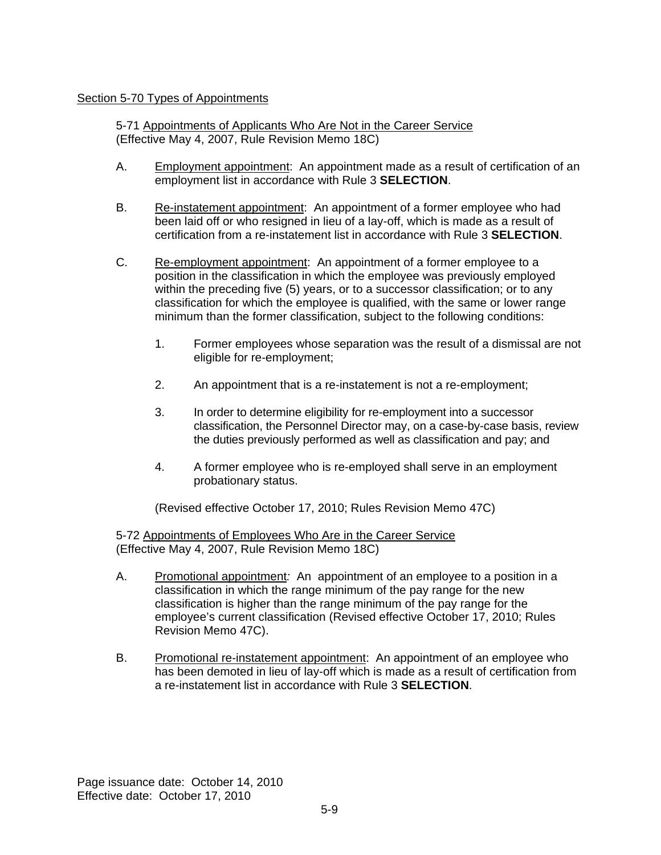### Section 5-70 Types of Appointments

5-71 Appointments of Applicants Who Are Not in the Career Service (Effective May 4, 2007, Rule Revision Memo 18C)

- A. Employment appointment: An appointment made as a result of certification of an employment list in accordance with Rule 3 **SELECTION**.
- B. Re-instatement appointment: An appointment of a former employee who had been laid off or who resigned in lieu of a lay-off, which is made as a result of certification from a re-instatement list in accordance with Rule 3 **SELECTION**.
- C. Re-employment appointment: An appointment of a former employee to a position in the classification in which the employee was previously employed within the preceding five (5) years, or to a successor classification; or to any classification for which the employee is qualified, with the same or lower range minimum than the former classification, subject to the following conditions:
	- 1. Former employees whose separation was the result of a dismissal are not eligible for re-employment;
	- 2. An appointment that is a re-instatement is not a re-employment;
	- 3. In order to determine eligibility for re-employment into a successor classification, the Personnel Director may, on a case-by-case basis, review the duties previously performed as well as classification and pay; and
	- 4. A former employee who is re-employed shall serve in an employment probationary status.

(Revised effective October 17, 2010; Rules Revision Memo 47C)

5-72 Appointments of Employees Who Are in the Career Service (Effective May 4, 2007, Rule Revision Memo 18C)

- A. Promotional appointment*:* An appointment of an employee to a position in a classification in which the range minimum of the pay range for the new classification is higher than the range minimum of the pay range for the employee's current classification (Revised effective October 17, 2010; Rules Revision Memo 47C).
- B. Promotional re-instatement appointment: An appointment of an employee who has been demoted in lieu of lay-off which is made as a result of certification from a re-instatement list in accordance with Rule 3 **SELECTION**.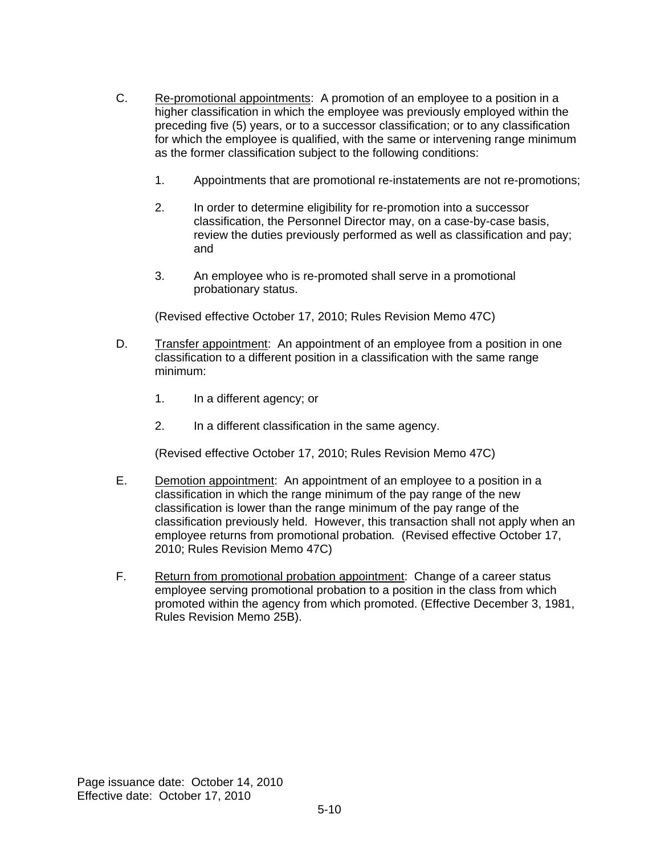- C. Re-promotional appointments: A promotion of an employee to a position in a higher classification in which the employee was previously employed within the preceding five (5) years, or to a successor classification; or to any classification for which the employee is qualified, with the same or intervening range minimum as the former classification subject to the following conditions:
	- 1. Appointments that are promotional re-instatements are not re-promotions;
	- 2. In order to determine eligibility for re-promotion into a successor classification, the Personnel Director may, on a case-by-case basis, review the duties previously performed as well as classification and pay; and
	- 3. An employee who is re-promoted shall serve in a promotional probationary status.

(Revised effective October 17, 2010; Rules Revision Memo 47C)

- D. Transfer appointment: An appointment of an employee from a position in one classification to a different position in a classification with the same range minimum:
	- 1. In a different agency; or
	- 2. In a different classification in the same agency.

(Revised effective October 17, 2010; Rules Revision Memo 47C)

- E. Demotion appointment: An appointment of an employee to a position in a classification in which the range minimum of the pay range of the new classification is lower than the range minimum of the pay range of the classification previously held. However, this transaction shall not apply when an employee returns from promotional probation*.* (Revised effective October 17, 2010; Rules Revision Memo 47C)
- F. Return from promotional probation appointment: Change of a career status employee serving promotional probation to a position in the class from which promoted within the agency from which promoted. (Effective December 3, 1981, Rules Revision Memo 25B).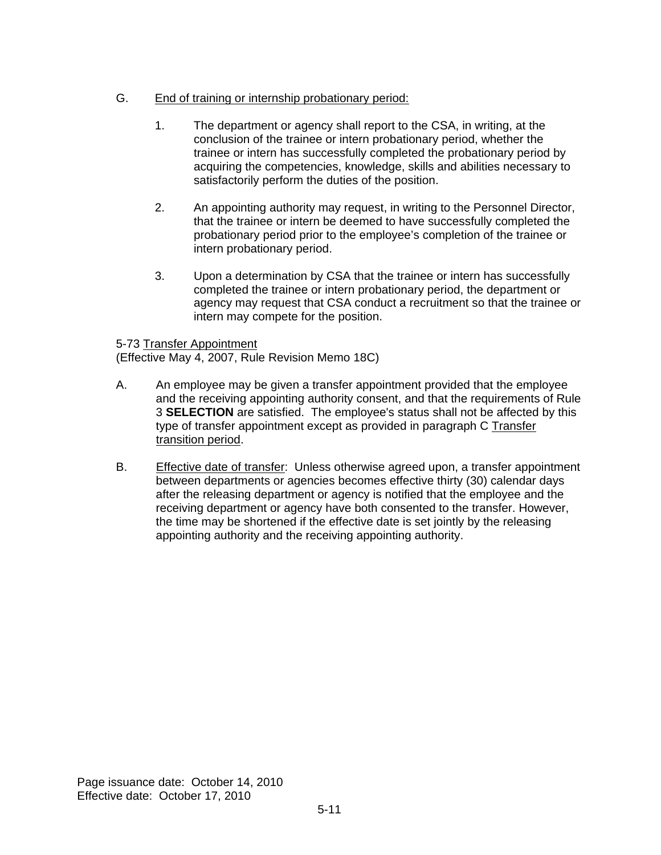## G. End of training or internship probationary period:

- 1. The department or agency shall report to the CSA, in writing, at the conclusion of the trainee or intern probationary period, whether the trainee or intern has successfully completed the probationary period by acquiring the competencies, knowledge, skills and abilities necessary to satisfactorily perform the duties of the position.
- 2. An appointing authority may request, in writing to the Personnel Director, that the trainee or intern be deemed to have successfully completed the probationary period prior to the employee's completion of the trainee or intern probationary period.
- 3. Upon a determination by CSA that the trainee or intern has successfully completed the trainee or intern probationary period, the department or agency may request that CSA conduct a recruitment so that the trainee or intern may compete for the position.

### 5-73 Transfer Appointment

(Effective May 4, 2007, Rule Revision Memo 18C)

- A. An employee may be given a transfer appointment provided that the employee and the receiving appointing authority consent, and that the requirements of Rule 3 **SELECTION** are satisfied. The employee's status shall not be affected by this type of transfer appointment except as provided in paragraph C Transfer transition period.
- B. Effective date of transfer: Unless otherwise agreed upon, a transfer appointment between departments or agencies becomes effective thirty (30) calendar days after the releasing department or agency is notified that the employee and the receiving department or agency have both consented to the transfer. However, the time may be shortened if the effective date is set jointly by the releasing appointing authority and the receiving appointing authority.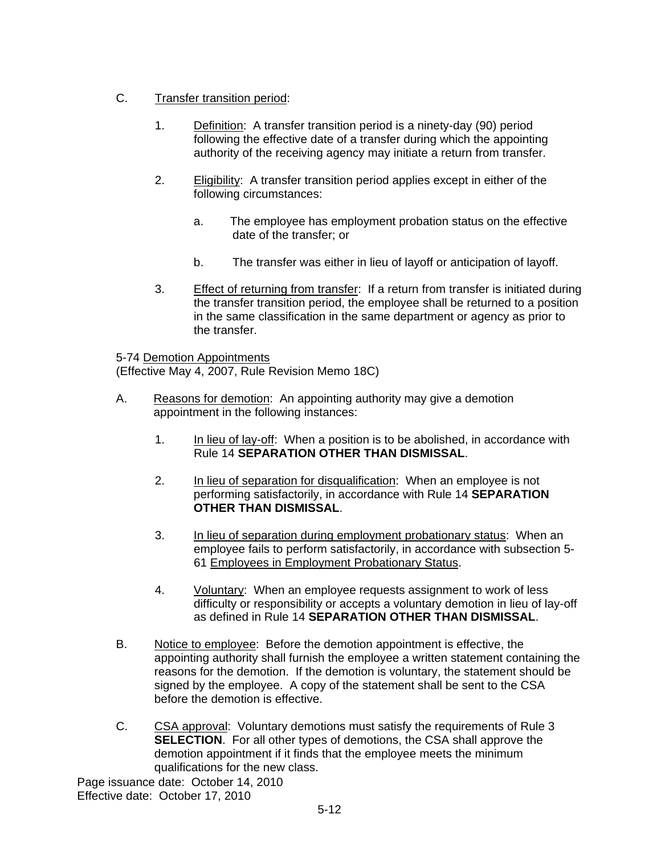## C. Transfer transition period:

- 1. Definition: A transfer transition period is a ninety-day (90) period following the effective date of a transfer during which the appointing authority of the receiving agency may initiate a return from transfer.
- 2. Eligibility: A transfer transition period applies except in either of the following circumstances:
	- a. The employee has employment probation status on the effective date of the transfer; or
	- b. The transfer was either in lieu of layoff or anticipation of layoff.
- 3. Effect of returning from transfer: If a return from transfer is initiated during the transfer transition period, the employee shall be returned to a position in the same classification in the same department or agency as prior to the transfer.

### 5-74 Demotion Appointments

(Effective May 4, 2007, Rule Revision Memo 18C)

- A. Reasons for demotion: An appointing authority may give a demotion appointment in the following instances:
	- 1. In lieu of lay-off: When a position is to be abolished, in accordance with Rule 14 **SEPARATION OTHER THAN DISMISSAL**.
	- 2. In lieu of separation for disqualification: When an employee is not performing satisfactorily, in accordance with Rule 14 **SEPARATION OTHER THAN DISMISSAL**.
	- 3. In lieu of separation during employment probationary status: When an employee fails to perform satisfactorily, in accordance with subsection 5- 61 Employees in Employment Probationary Status.
	- 4. Voluntary: When an employee requests assignment to work of less difficulty or responsibility or accepts a voluntary demotion in lieu of lay-off as defined in Rule 14 **SEPARATION OTHER THAN DISMISSAL**.
- B. Notice to employee: Before the demotion appointment is effective, the appointing authority shall furnish the employee a written statement containing the reasons for the demotion. If the demotion is voluntary, the statement should be signed by the employee. A copy of the statement shall be sent to the CSA before the demotion is effective.
- C. CSA approval: Voluntary demotions must satisfy the requirements of Rule 3 **SELECTION.** For all other types of demotions, the CSA shall approve the demotion appointment if it finds that the employee meets the minimum qualifications for the new class.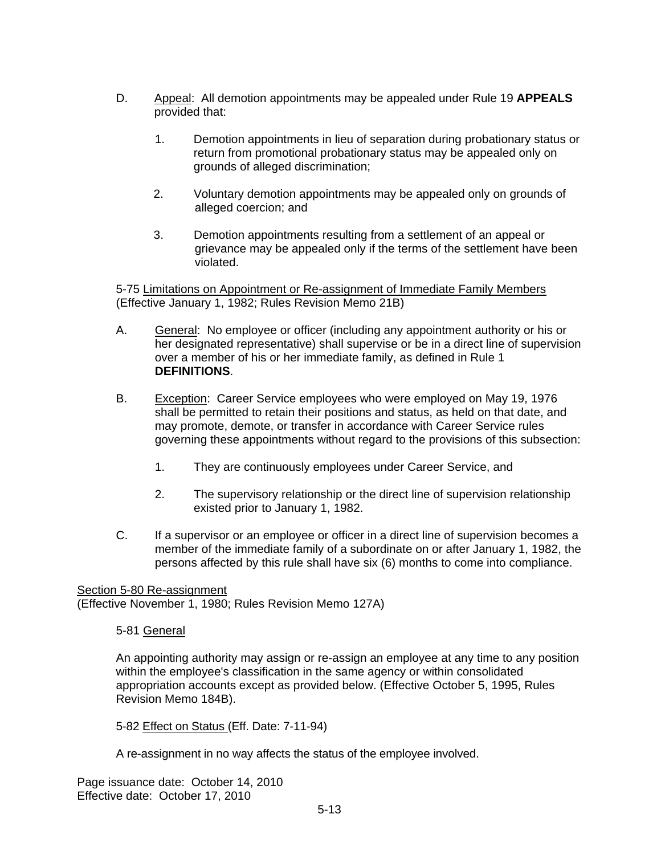- D. Appeal: All demotion appointments may be appealed under Rule 19 **APPEALS** provided that:
	- 1. Demotion appointments in lieu of separation during probationary status or return from promotional probationary status may be appealed only on grounds of alleged discrimination;
	- 2. Voluntary demotion appointments may be appealed only on grounds of alleged coercion; and
	- 3. Demotion appointments resulting from a settlement of an appeal or grievance may be appealed only if the terms of the settlement have been violated.

5-75 Limitations on Appointment or Re-assignment of Immediate Family Members (Effective January 1, 1982; Rules Revision Memo 21B)

- A. General: No employee or officer (including any appointment authority or his or her designated representative) shall supervise or be in a direct line of supervision over a member of his or her immediate family, as defined in Rule 1 **DEFINITIONS**.
- B. Exception: Career Service employees who were employed on May 19, 1976 shall be permitted to retain their positions and status, as held on that date, and may promote, demote, or transfer in accordance with Career Service rules governing these appointments without regard to the provisions of this subsection:
	- 1. They are continuously employees under Career Service, and
	- 2. The supervisory relationship or the direct line of supervision relationship existed prior to January 1, 1982.
- C. If a supervisor or an employee or officer in a direct line of supervision becomes a member of the immediate family of a subordinate on or after January 1, 1982, the persons affected by this rule shall have six (6) months to come into compliance.

Section 5-80 Re-assignment (Effective November 1, 1980; Rules Revision Memo 127A)

5-81 General

An appointing authority may assign or re-assign an employee at any time to any position within the employee's classification in the same agency or within consolidated appropriation accounts except as provided below. (Effective October 5, 1995, Rules Revision Memo 184B).

5-82 Effect on Status (Eff. Date: 7-11-94)

A re-assignment in no way affects the status of the employee involved.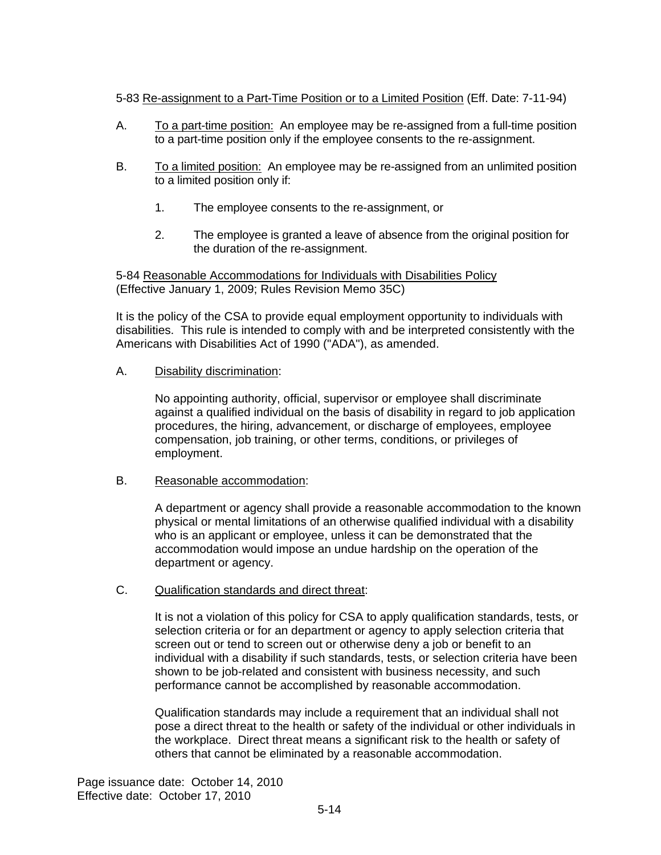### 5-83 Re-assignment to a Part-Time Position or to a Limited Position (Eff. Date: 7-11-94)

- A. To a part-time position: An employee may be re-assigned from a full-time position to a part-time position only if the employee consents to the re-assignment.
- B. To a limited position: An employee may be re-assigned from an unlimited position to a limited position only if:
	- 1. The employee consents to the re-assignment, or
	- 2. The employee is granted a leave of absence from the original position for the duration of the re-assignment.

5-84 Reasonable Accommodations for Individuals with Disabilities Policy (Effective January 1, 2009; Rules Revision Memo 35C)

It is the policy of the CSA to provide equal employment opportunity to individuals with disabilities. This rule is intended to comply with and be interpreted consistently with the Americans with Disabilities Act of 1990 ("ADA"), as amended.

A. Disability discrimination:

No appointing authority, official, supervisor or employee shall discriminate against a qualified individual on the basis of disability in regard to job application procedures, the hiring, advancement, or discharge of employees, employee compensation, job training, or other terms, conditions, or privileges of employment.

B. Reasonable accommodation:

A department or agency shall provide a reasonable accommodation to the known physical or mental limitations of an otherwise qualified individual with a disability who is an applicant or employee, unless it can be demonstrated that the accommodation would impose an undue hardship on the operation of the department or agency.

C. Qualification standards and direct threat:

It is not a violation of this policy for CSA to apply qualification standards, tests, or selection criteria or for an department or agency to apply selection criteria that screen out or tend to screen out or otherwise deny a job or benefit to an individual with a disability if such standards, tests, or selection criteria have been shown to be job-related and consistent with business necessity, and such performance cannot be accomplished by reasonable accommodation.

Qualification standards may include a requirement that an individual shall not pose a direct threat to the health or safety of the individual or other individuals in the workplace. Direct threat means a significant risk to the health or safety of others that cannot be eliminated by a reasonable accommodation.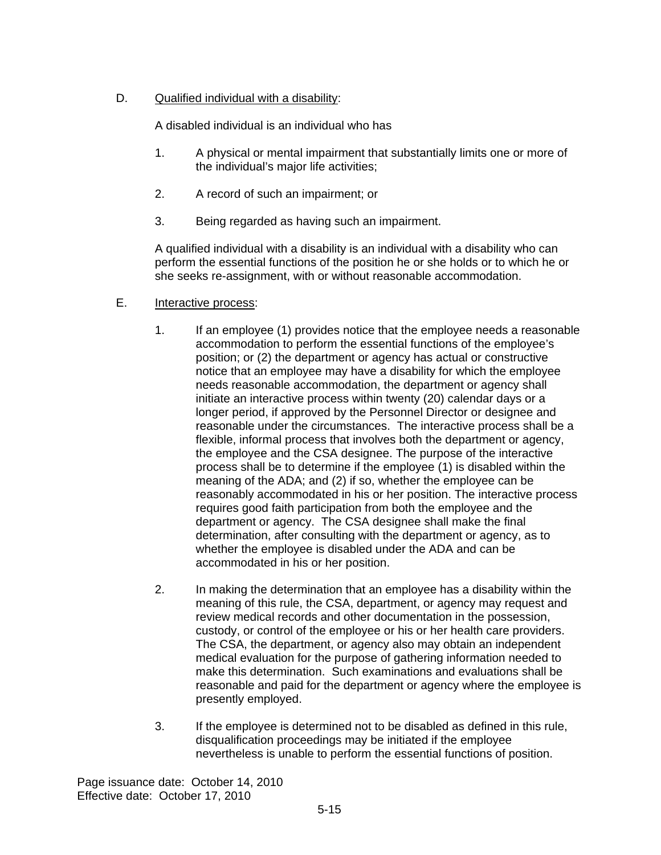## D. Qualified individual with a disability:

A disabled individual is an individual who has

- 1. A physical or mental impairment that substantially limits one or more of the individual's major life activities;
- 2. A record of such an impairment; or
- 3. Being regarded as having such an impairment.

A qualified individual with a disability is an individual with a disability who can perform the essential functions of the position he or she holds or to which he or she seeks re-assignment, with or without reasonable accommodation.

- E. Interactive process:
	- 1. If an employee (1) provides notice that the employee needs a reasonable accommodation to perform the essential functions of the employee's position; or (2) the department or agency has actual or constructive notice that an employee may have a disability for which the employee needs reasonable accommodation, the department or agency shall initiate an interactive process within twenty (20) calendar days or a longer period, if approved by the Personnel Director or designee and reasonable under the circumstances. The interactive process shall be a flexible, informal process that involves both the department or agency, the employee and the CSA designee. The purpose of the interactive process shall be to determine if the employee (1) is disabled within the meaning of the ADA; and (2) if so, whether the employee can be reasonably accommodated in his or her position. The interactive process requires good faith participation from both the employee and the department or agency. The CSA designee shall make the final determination, after consulting with the department or agency, as to whether the employee is disabled under the ADA and can be accommodated in his or her position.
	- 2. In making the determination that an employee has a disability within the meaning of this rule, the CSA, department, or agency may request and review medical records and other documentation in the possession, custody, or control of the employee or his or her health care providers. The CSA, the department, or agency also may obtain an independent medical evaluation for the purpose of gathering information needed to make this determination. Such examinations and evaluations shall be reasonable and paid for the department or agency where the employee is presently employed.
	- 3. If the employee is determined not to be disabled as defined in this rule, disqualification proceedings may be initiated if the employee nevertheless is unable to perform the essential functions of position.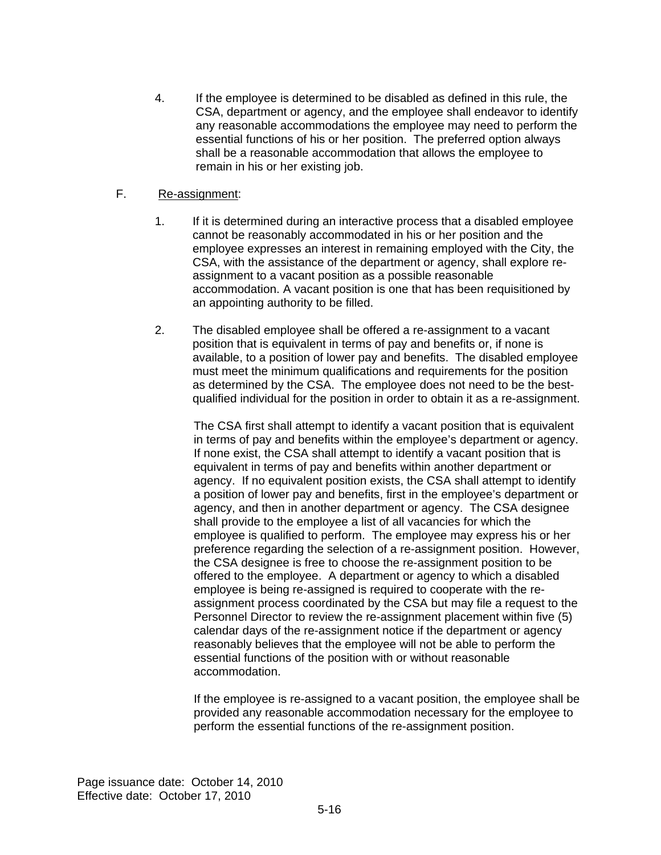4. If the employee is determined to be disabled as defined in this rule, the CSA, department or agency, and the employee shall endeavor to identify any reasonable accommodations the employee may need to perform the essential functions of his or her position. The preferred option always shall be a reasonable accommodation that allows the employee to remain in his or her existing job.

#### F. Re-assignment:

- 1. If it is determined during an interactive process that a disabled employee cannot be reasonably accommodated in his or her position and the employee expresses an interest in remaining employed with the City, the CSA, with the assistance of the department or agency, shall explore reassignment to a vacant position as a possible reasonable accommodation. A vacant position is one that has been requisitioned by an appointing authority to be filled.
- 2. The disabled employee shall be offered a re-assignment to a vacant position that is equivalent in terms of pay and benefits or, if none is available, to a position of lower pay and benefits. The disabled employee must meet the minimum qualifications and requirements for the position as determined by the CSA. The employee does not need to be the bestqualified individual for the position in order to obtain it as a re-assignment.

The CSA first shall attempt to identify a vacant position that is equivalent in terms of pay and benefits within the employee's department or agency. If none exist, the CSA shall attempt to identify a vacant position that is equivalent in terms of pay and benefits within another department or agency. If no equivalent position exists, the CSA shall attempt to identify a position of lower pay and benefits, first in the employee's department or agency, and then in another department or agency. The CSA designee shall provide to the employee a list of all vacancies for which the employee is qualified to perform. The employee may express his or her preference regarding the selection of a re-assignment position. However, the CSA designee is free to choose the re-assignment position to be offered to the employee. A department or agency to which a disabled employee is being re-assigned is required to cooperate with the reassignment process coordinated by the CSA but may file a request to the Personnel Director to review the re-assignment placement within five (5) calendar days of the re-assignment notice if the department or agency reasonably believes that the employee will not be able to perform the essential functions of the position with or without reasonable accommodation.

If the employee is re-assigned to a vacant position, the employee shall be provided any reasonable accommodation necessary for the employee to perform the essential functions of the re-assignment position.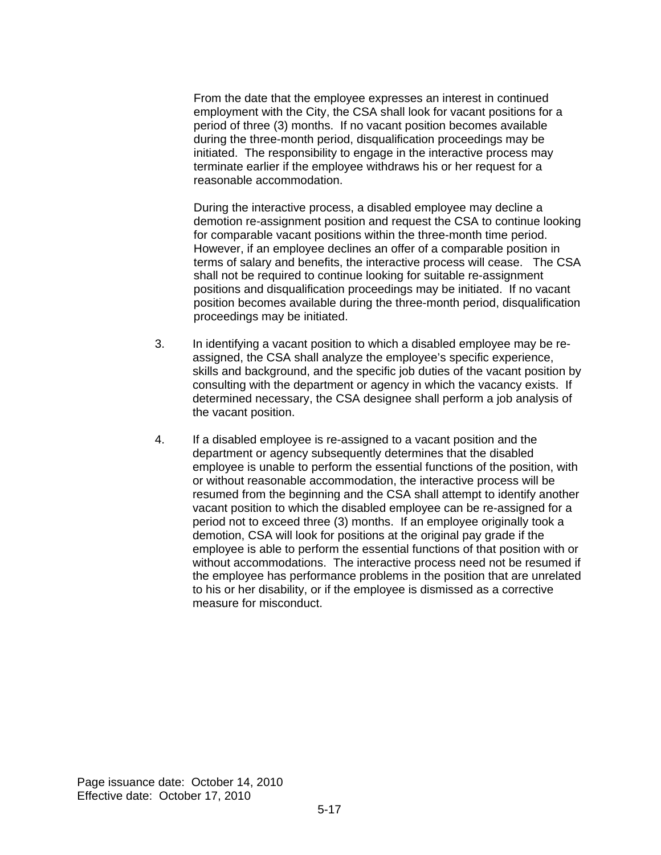From the date that the employee expresses an interest in continued employment with the City, the CSA shall look for vacant positions for a period of three (3) months. If no vacant position becomes available during the three-month period, disqualification proceedings may be initiated. The responsibility to engage in the interactive process may terminate earlier if the employee withdraws his or her request for a reasonable accommodation.

During the interactive process, a disabled employee may decline a demotion re-assignment position and request the CSA to continue looking for comparable vacant positions within the three-month time period. However, if an employee declines an offer of a comparable position in terms of salary and benefits, the interactive process will cease. The CSA shall not be required to continue looking for suitable re-assignment positions and disqualification proceedings may be initiated. If no vacant position becomes available during the three-month period, disqualification proceedings may be initiated.

- 3. In identifying a vacant position to which a disabled employee may be reassigned, the CSA shall analyze the employee's specific experience, skills and background, and the specific job duties of the vacant position by consulting with the department or agency in which the vacancy exists. If determined necessary, the CSA designee shall perform a job analysis of the vacant position.
- 4. If a disabled employee is re-assigned to a vacant position and the department or agency subsequently determines that the disabled employee is unable to perform the essential functions of the position, with or without reasonable accommodation, the interactive process will be resumed from the beginning and the CSA shall attempt to identify another vacant position to which the disabled employee can be re-assigned for a period not to exceed three (3) months. If an employee originally took a demotion, CSA will look for positions at the original pay grade if the employee is able to perform the essential functions of that position with or without accommodations. The interactive process need not be resumed if the employee has performance problems in the position that are unrelated to his or her disability, or if the employee is dismissed as a corrective measure for misconduct.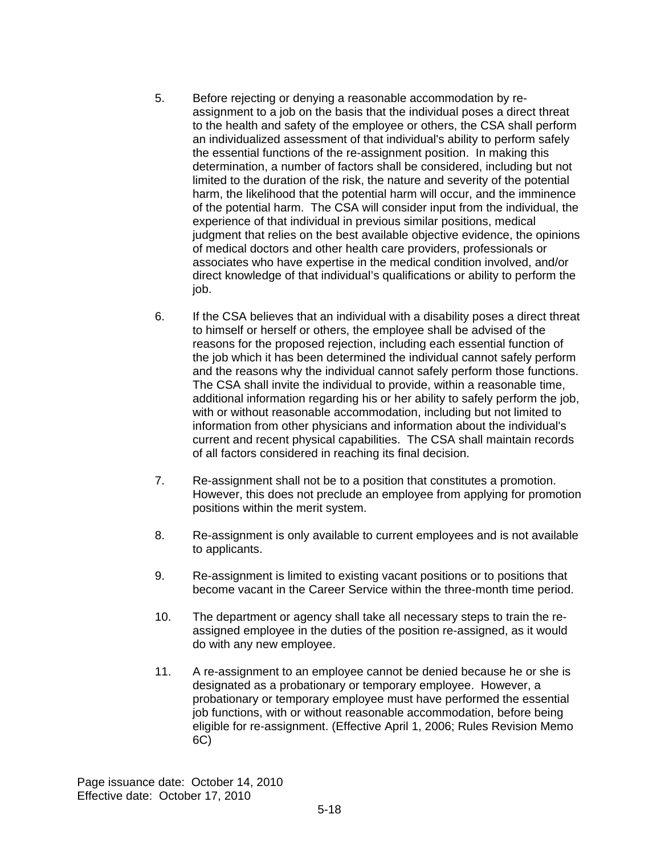- 5. Before rejecting or denying a reasonable accommodation by reassignment to a job on the basis that the individual poses a direct threat to the health and safety of the employee or others, the CSA shall perform an individualized assessment of that individual's ability to perform safely the essential functions of the re-assignment position. In making this determination, a number of factors shall be considered, including but not limited to the duration of the risk, the nature and severity of the potential harm, the likelihood that the potential harm will occur, and the imminence of the potential harm. The CSA will consider input from the individual, the experience of that individual in previous similar positions, medical judgment that relies on the best available objective evidence, the opinions of medical doctors and other health care providers, professionals or associates who have expertise in the medical condition involved, and/or direct knowledge of that individual's qualifications or ability to perform the job.
- 6. If the CSA believes that an individual with a disability poses a direct threat to himself or herself or others, the employee shall be advised of the reasons for the proposed rejection, including each essential function of the job which it has been determined the individual cannot safely perform and the reasons why the individual cannot safely perform those functions. The CSA shall invite the individual to provide, within a reasonable time, additional information regarding his or her ability to safely perform the job, with or without reasonable accommodation, including but not limited to information from other physicians and information about the individual's current and recent physical capabilities. The CSA shall maintain records of all factors considered in reaching its final decision.
- 7. Re-assignment shall not be to a position that constitutes a promotion. However, this does not preclude an employee from applying for promotion positions within the merit system.
- 8. Re-assignment is only available to current employees and is not available to applicants.
- 9. Re-assignment is limited to existing vacant positions or to positions that become vacant in the Career Service within the three-month time period.
- 10. The department or agency shall take all necessary steps to train the reassigned employee in the duties of the position re-assigned, as it would do with any new employee.
- 11. A re-assignment to an employee cannot be denied because he or she is designated as a probationary or temporary employee. However, a probationary or temporary employee must have performed the essential job functions, with or without reasonable accommodation, before being eligible for re-assignment. (Effective April 1, 2006; Rules Revision Memo 6C)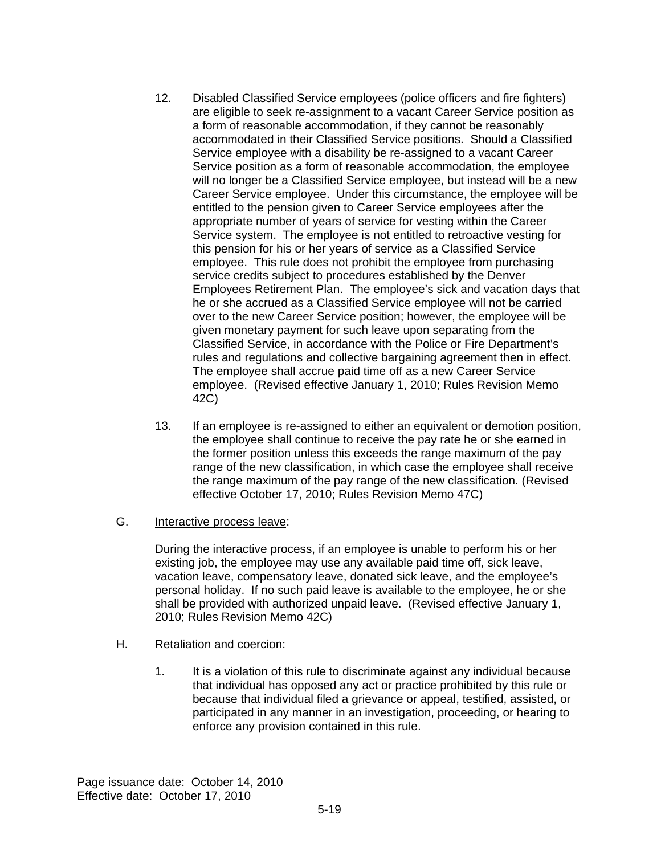- 12. Disabled Classified Service employees (police officers and fire fighters) are eligible to seek re-assignment to a vacant Career Service position as a form of reasonable accommodation, if they cannot be reasonably accommodated in their Classified Service positions. Should a Classified Service employee with a disability be re-assigned to a vacant Career Service position as a form of reasonable accommodation, the employee will no longer be a Classified Service employee, but instead will be a new Career Service employee. Under this circumstance, the employee will be entitled to the pension given to Career Service employees after the appropriate number of years of service for vesting within the Career Service system. The employee is not entitled to retroactive vesting for this pension for his or her years of service as a Classified Service employee. This rule does not prohibit the employee from purchasing service credits subject to procedures established by the Denver Employees Retirement Plan. The employee's sick and vacation days that he or she accrued as a Classified Service employee will not be carried over to the new Career Service position; however, the employee will be given monetary payment for such leave upon separating from the Classified Service, in accordance with the Police or Fire Department's rules and regulations and collective bargaining agreement then in effect. The employee shall accrue paid time off as a new Career Service employee. (Revised effective January 1, 2010; Rules Revision Memo 42C)
- 13. If an employee is re-assigned to either an equivalent or demotion position, the employee shall continue to receive the pay rate he or she earned in the former position unless this exceeds the range maximum of the pay range of the new classification, in which case the employee shall receive the range maximum of the pay range of the new classification. (Revised effective October 17, 2010; Rules Revision Memo 47C)
- G. Interactive process leave:

During the interactive process, if an employee is unable to perform his or her existing job, the employee may use any available paid time off, sick leave, vacation leave, compensatory leave, donated sick leave, and the employee's personal holiday. If no such paid leave is available to the employee, he or she shall be provided with authorized unpaid leave. (Revised effective January 1, 2010; Rules Revision Memo 42C)

- H. Retaliation and coercion:
	- 1. It is a violation of this rule to discriminate against any individual because that individual has opposed any act or practice prohibited by this rule or because that individual filed a grievance or appeal, testified, assisted, or participated in any manner in an investigation, proceeding, or hearing to enforce any provision contained in this rule.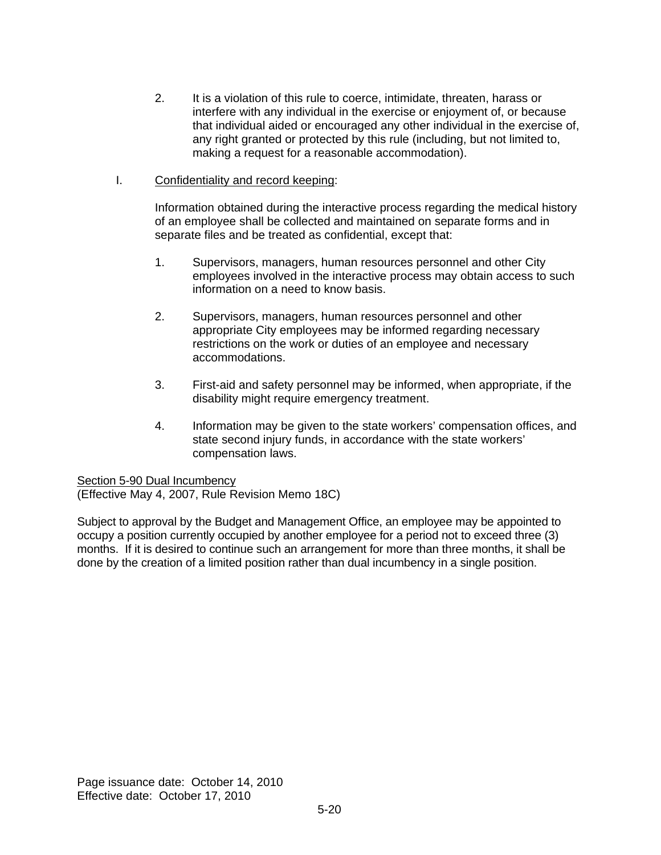- 2. It is a violation of this rule to coerce, intimidate, threaten, harass or interfere with any individual in the exercise or enjoyment of, or because that individual aided or encouraged any other individual in the exercise of, any right granted or protected by this rule (including, but not limited to, making a request for a reasonable accommodation).
- I. Confidentiality and record keeping:

Information obtained during the interactive process regarding the medical history of an employee shall be collected and maintained on separate forms and in separate files and be treated as confidential, except that:

- 1. Supervisors, managers, human resources personnel and other City employees involved in the interactive process may obtain access to such information on a need to know basis.
- 2. Supervisors, managers, human resources personnel and other appropriate City employees may be informed regarding necessary restrictions on the work or duties of an employee and necessary accommodations.
- 3. First-aid and safety personnel may be informed, when appropriate, if the disability might require emergency treatment.
- 4. Information may be given to the state workers' compensation offices, and state second injury funds, in accordance with the state workers' compensation laws.

Section 5-90 Dual Incumbency

(Effective May 4, 2007, Rule Revision Memo 18C)

Subject to approval by the Budget and Management Office, an employee may be appointed to occupy a position currently occupied by another employee for a period not to exceed three (3) months. If it is desired to continue such an arrangement for more than three months, it shall be done by the creation of a limited position rather than dual incumbency in a single position.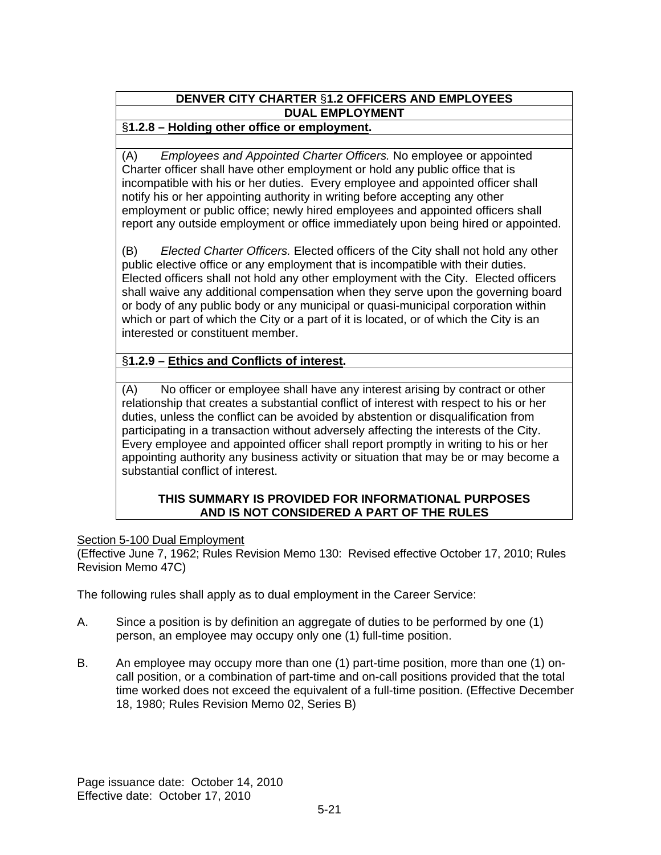# **DENVER CITY CHARTER** §**1.2 OFFICERS AND EMPLOYEES DUAL EMPLOYMENT**

## §**1.2.8 – Holding other office or employment.**

(A) *Employees and Appointed Charter Officers.* No employee or appointed Charter officer shall have other employment or hold any public office that is incompatible with his or her duties. Every employee and appointed officer shall notify his or her appointing authority in writing before accepting any other employment or public office; newly hired employees and appointed officers shall report any outside employment or office immediately upon being hired or appointed.

(B) *Elected Charter Officers.* Elected officers of the City shall not hold any other public elective office or any employment that is incompatible with their duties. Elected officers shall not hold any other employment with the City. Elected officers shall waive any additional compensation when they serve upon the governing board or body of any public body or any municipal or quasi-municipal corporation within which or part of which the City or a part of it is located, or of which the City is an interested or constituent member.

## §**1.2.9 – Ethics and Conflicts of interest.**

(A) No officer or employee shall have any interest arising by contract or other relationship that creates a substantial conflict of interest with respect to his or her duties, unless the conflict can be avoided by abstention or disqualification from participating in a transaction without adversely affecting the interests of the City. Every employee and appointed officer shall report promptly in writing to his or her appointing authority any business activity or situation that may be or may become a substantial conflict of interest.

### **THIS SUMMARY IS PROVIDED FOR INFORMATIONAL PURPOSES AND IS NOT CONSIDERED A PART OF THE RULES**

## Section 5-100 Dual Employment

(Effective June 7, 1962; Rules Revision Memo 130: Revised effective October 17, 2010; Rules Revision Memo 47C)

The following rules shall apply as to dual employment in the Career Service:

- A. Since a position is by definition an aggregate of duties to be performed by one (1) person, an employee may occupy only one (1) full-time position.
- B. An employee may occupy more than one (1) part-time position, more than one (1) oncall position, or a combination of part-time and on-call positions provided that the total time worked does not exceed the equivalent of a full-time position. (Effective December 18, 1980; Rules Revision Memo 02, Series B)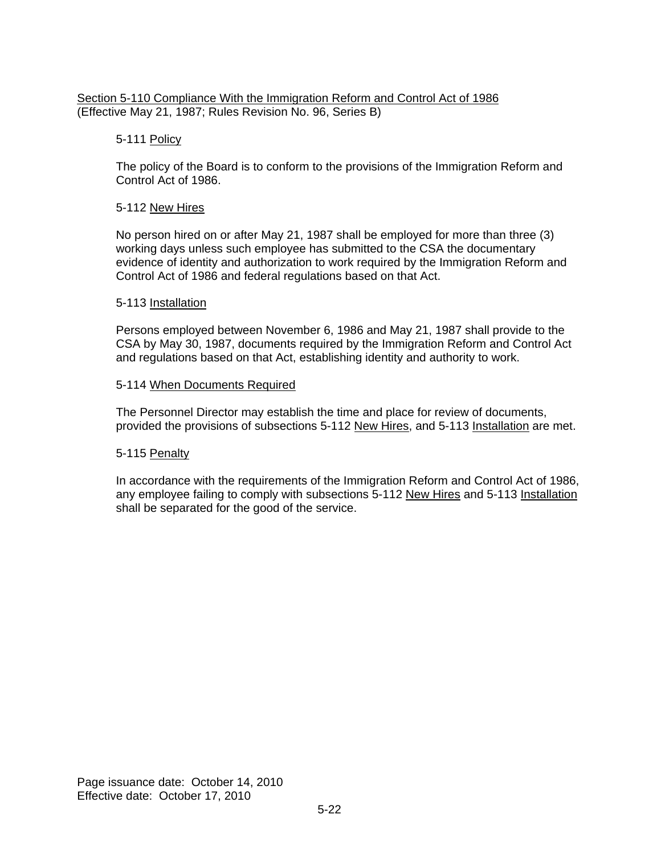### Section 5-110 Compliance With the Immigration Reform and Control Act of 1986 (Effective May 21, 1987; Rules Revision No. 96, Series B)

## 5-111 Policy

The policy of the Board is to conform to the provisions of the Immigration Reform and Control Act of 1986.

#### 5-112 New Hires

No person hired on or after May 21, 1987 shall be employed for more than three (3) working days unless such employee has submitted to the CSA the documentary evidence of identity and authorization to work required by the Immigration Reform and Control Act of 1986 and federal regulations based on that Act.

#### 5-113 Installation

Persons employed between November 6, 1986 and May 21, 1987 shall provide to the CSA by May 30, 1987, documents required by the Immigration Reform and Control Act and regulations based on that Act, establishing identity and authority to work.

#### 5-114 When Documents Required

The Personnel Director may establish the time and place for review of documents, provided the provisions of subsections 5-112 New Hires, and 5-113 Installation are met.

### 5-115 Penalty

In accordance with the requirements of the Immigration Reform and Control Act of 1986, any employee failing to comply with subsections 5-112 New Hires and 5-113 Installation shall be separated for the good of the service.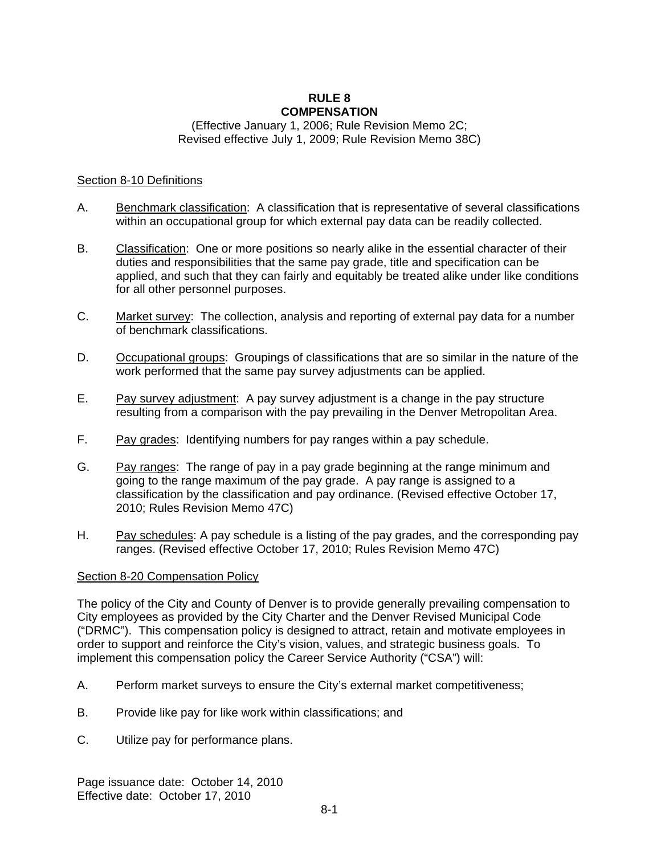#### **RULE 8 COMPENSATION**

### (Effective January 1, 2006; Rule Revision Memo 2C; Revised effective July 1, 2009; Rule Revision Memo 38C)

#### Section 8-10 Definitions

- A. Benchmark classification: A classification that is representative of several classifications within an occupational group for which external pay data can be readily collected.
- B. Classification: One or more positions so nearly alike in the essential character of their duties and responsibilities that the same pay grade, title and specification can be applied, and such that they can fairly and equitably be treated alike under like conditions for all other personnel purposes.
- C. Market survey: The collection, analysis and reporting of external pay data for a number of benchmark classifications.
- D. Occupational groups: Groupings of classifications that are so similar in the nature of the work performed that the same pay survey adjustments can be applied.
- E. Pay survey adjustment: A pay survey adjustment is a change in the pay structure resulting from a comparison with the pay prevailing in the Denver Metropolitan Area.
- F. Pay grades: Identifying numbers for pay ranges within a pay schedule.
- G. Pay ranges: The range of pay in a pay grade beginning at the range minimum and going to the range maximum of the pay grade. A pay range is assigned to a classification by the classification and pay ordinance. (Revised effective October 17, 2010; Rules Revision Memo 47C)
- H. Pay schedules: A pay schedule is a listing of the pay grades, and the corresponding pay ranges. (Revised effective October 17, 2010; Rules Revision Memo 47C)

#### Section 8-20 Compensation Policy

The policy of the City and County of Denver is to provide generally prevailing compensation to City employees as provided by the City Charter and the Denver Revised Municipal Code ("DRMC"). This compensation policy is designed to attract, retain and motivate employees in order to support and reinforce the City's vision, values, and strategic business goals. To implement this compensation policy the Career Service Authority ("CSA") will:

- A. Perform market surveys to ensure the City's external market competitiveness;
- B. Provide like pay for like work within classifications; and
- C. Utilize pay for performance plans.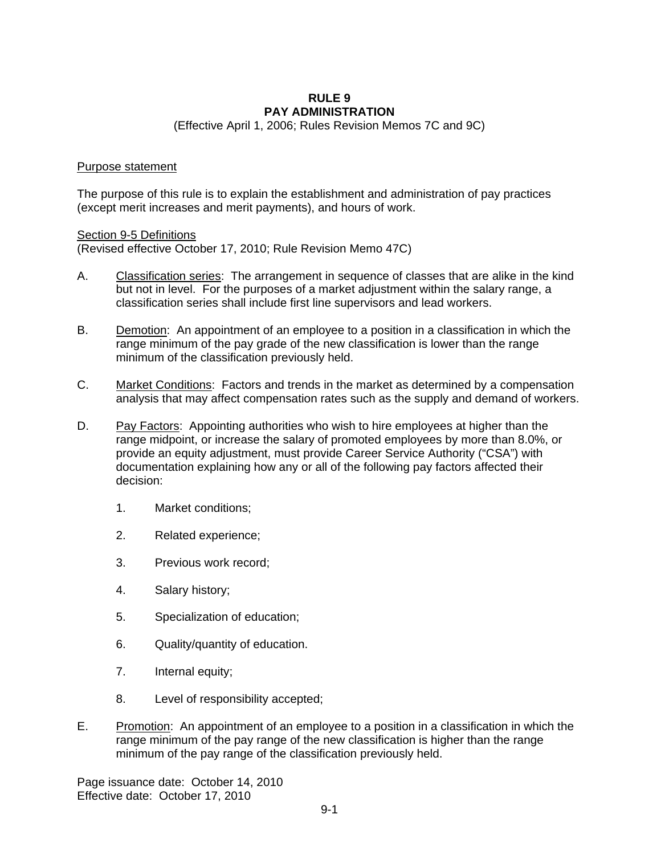#### **RULE 9 PAY ADMINISTRATION**

(Effective April 1, 2006; Rules Revision Memos 7C and 9C)

#### Purpose statement

The purpose of this rule is to explain the establishment and administration of pay practices (except merit increases and merit payments), and hours of work.

#### Section 9-5 Definitions

(Revised effective October 17, 2010; Rule Revision Memo 47C)

- A. Classification series: The arrangement in sequence of classes that are alike in the kind but not in level. For the purposes of a market adjustment within the salary range, a classification series shall include first line supervisors and lead workers.
- B. Demotion: An appointment of an employee to a position in a classification in which the range minimum of the pay grade of the new classification is lower than the range minimum of the classification previously held.
- C. Market Conditions: Factors and trends in the market as determined by a compensation analysis that may affect compensation rates such as the supply and demand of workers.
- D. Pay Factors: Appointing authorities who wish to hire employees at higher than the range midpoint, or increase the salary of promoted employees by more than 8.0%, or provide an equity adjustment, must provide Career Service Authority ("CSA") with documentation explaining how any or all of the following pay factors affected their decision:
	- 1. Market conditions;
	- 2. Related experience;
	- 3. Previous work record;
	- 4. Salary history;
	- 5. Specialization of education;
	- 6. Quality/quantity of education.
	- 7. Internal equity;
	- 8. Level of responsibility accepted;
- E. Promotion: An appointment of an employee to a position in a classification in which the range minimum of the pay range of the new classification is higher than the range minimum of the pay range of the classification previously held.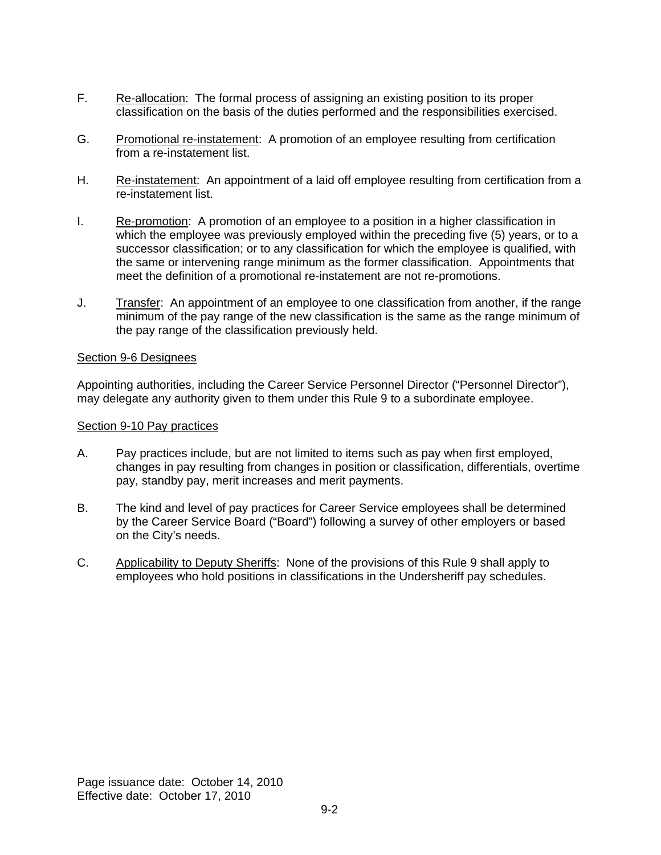- F. Re-allocation: The formal process of assigning an existing position to its proper classification on the basis of the duties performed and the responsibilities exercised.
- G. Promotional re-instatement: A promotion of an employee resulting from certification from a re-instatement list.
- H. Re-instatement: An appointment of a laid off employee resulting from certification from a re-instatement list.
- I. Re-promotion: A promotion of an employee to a position in a higher classification in which the employee was previously employed within the preceding five (5) years, or to a successor classification; or to any classification for which the employee is qualified, with the same or intervening range minimum as the former classification. Appointments that meet the definition of a promotional re-instatement are not re-promotions.
- J. Transfer: An appointment of an employee to one classification from another, if the range minimum of the pay range of the new classification is the same as the range minimum of the pay range of the classification previously held.

#### Section 9-6 Designees

Appointing authorities, including the Career Service Personnel Director ("Personnel Director"), may delegate any authority given to them under this Rule 9 to a subordinate employee.

#### Section 9-10 Pay practices

- A. Pay practices include, but are not limited to items such as pay when first employed, changes in pay resulting from changes in position or classification, differentials, overtime pay, standby pay, merit increases and merit payments.
- B. The kind and level of pay practices for Career Service employees shall be determined by the Career Service Board ("Board") following a survey of other employers or based on the City's needs.
- C. Applicability to Deputy Sheriffs:None of the provisions of this Rule 9 shall apply to employees who hold positions in classifications in the Undersheriff pay schedules.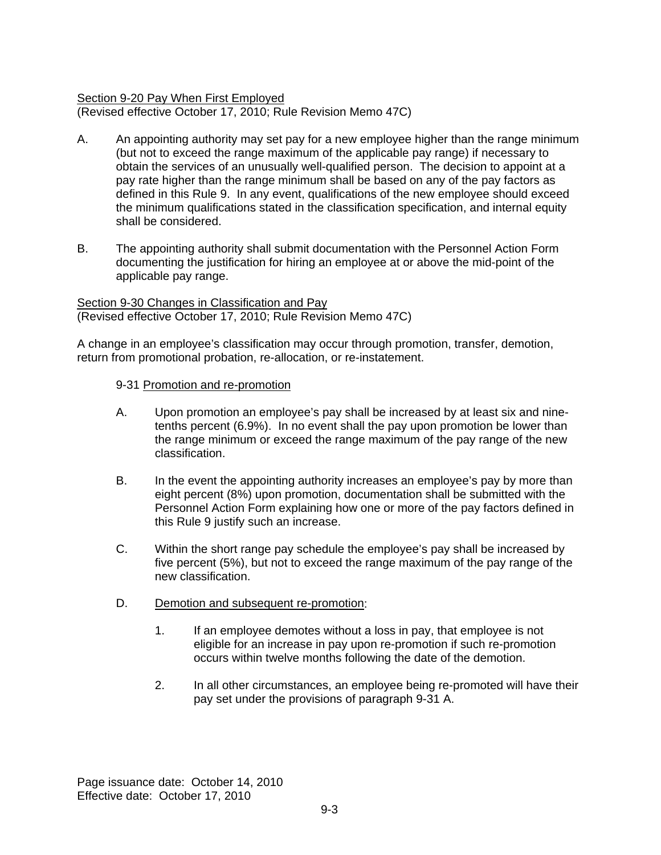### Section 9-20 Pay When First Employed

(Revised effective October 17, 2010; Rule Revision Memo 47C)

- A. An appointing authority may set pay for a new employee higher than the range minimum (but not to exceed the range maximum of the applicable pay range) if necessary to obtain the services of an unusually well-qualified person. The decision to appoint at a pay rate higher than the range minimum shall be based on any of the pay factors as defined in this Rule 9. In any event, qualifications of the new employee should exceed the minimum qualifications stated in the classification specification, and internal equity shall be considered.
- B. The appointing authority shall submit documentation with the Personnel Action Form documenting the justification for hiring an employee at or above the mid-point of the applicable pay range.

Section 9-30 Changes in Classification and Pay (Revised effective October 17, 2010; Rule Revision Memo 47C)

A change in an employee's classification may occur through promotion, transfer, demotion, return from promotional probation, re-allocation, or re-instatement.

#### 9-31 Promotion and re-promotion

- A. Upon promotion an employee's pay shall be increased by at least six and ninetenths percent (6.9%). In no event shall the pay upon promotion be lower than the range minimum or exceed the range maximum of the pay range of the new classification.
- B. In the event the appointing authority increases an employee's pay by more than eight percent (8%) upon promotion, documentation shall be submitted with the Personnel Action Form explaining how one or more of the pay factors defined in this Rule 9 justify such an increase.
- C. Within the short range pay schedule the employee's pay shall be increased by five percent (5%), but not to exceed the range maximum of the pay range of the new classification.
- D. Demotion and subsequent re-promotion:
	- 1. If an employee demotes without a loss in pay, that employee is not eligible for an increase in pay upon re-promotion if such re-promotion occurs within twelve months following the date of the demotion.
	- 2. In all other circumstances, an employee being re-promoted will have their pay set under the provisions of paragraph 9-31 A.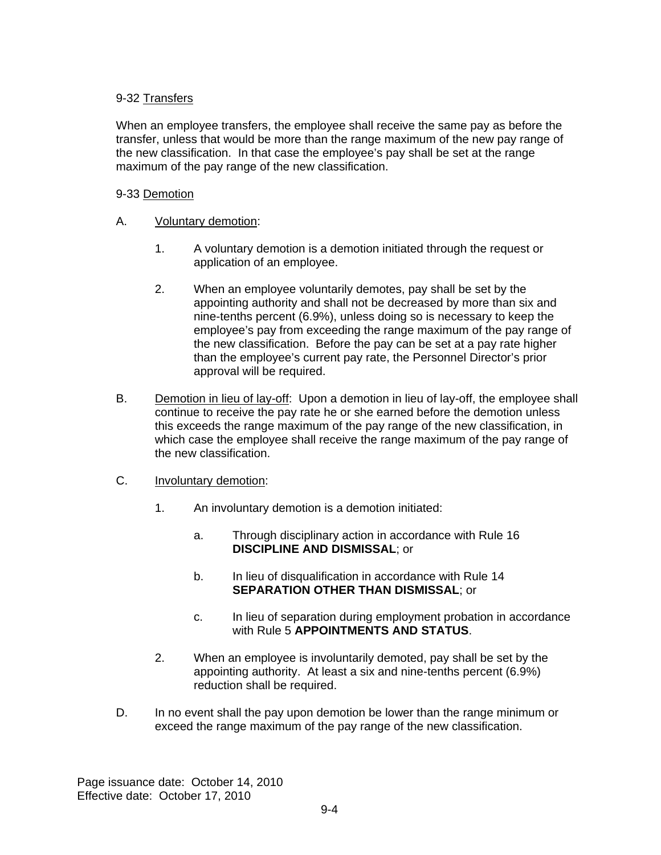## 9-32 Transfers

When an employee transfers, the employee shall receive the same pay as before the transfer, unless that would be more than the range maximum of the new pay range of the new classification. In that case the employee's pay shall be set at the range maximum of the pay range of the new classification.

### 9-33 Demotion

- A. Voluntary demotion:
	- 1. A voluntary demotion is a demotion initiated through the request or application of an employee.
	- 2. When an employee voluntarily demotes, pay shall be set by the appointing authority and shall not be decreased by more than six and nine-tenths percent (6.9%), unless doing so is necessary to keep the employee's pay from exceeding the range maximum of the pay range of the new classification. Before the pay can be set at a pay rate higher than the employee's current pay rate, the Personnel Director's prior approval will be required.
- B. Demotion in lieu of lay-off: Upon a demotion in lieu of lay-off, the employee shall continue to receive the pay rate he or she earned before the demotion unless this exceeds the range maximum of the pay range of the new classification, in which case the employee shall receive the range maximum of the pay range of the new classification.
- C. Involuntary demotion:
	- 1. An involuntary demotion is a demotion initiated:
		- a. Through disciplinary action in accordance with Rule 16 **DISCIPLINE AND DISMISSAL**; or
		- b. In lieu of disqualification in accordance with Rule 14 **SEPARATION OTHER THAN DISMISSAL**; or
		- c. In lieu of separation during employment probation in accordance with Rule 5 **APPOINTMENTS AND STATUS**.
	- 2. When an employee is involuntarily demoted, pay shall be set by the appointing authority. At least a six and nine-tenths percent (6.9%) reduction shall be required.
- D. In no event shall the pay upon demotion be lower than the range minimum or exceed the range maximum of the pay range of the new classification.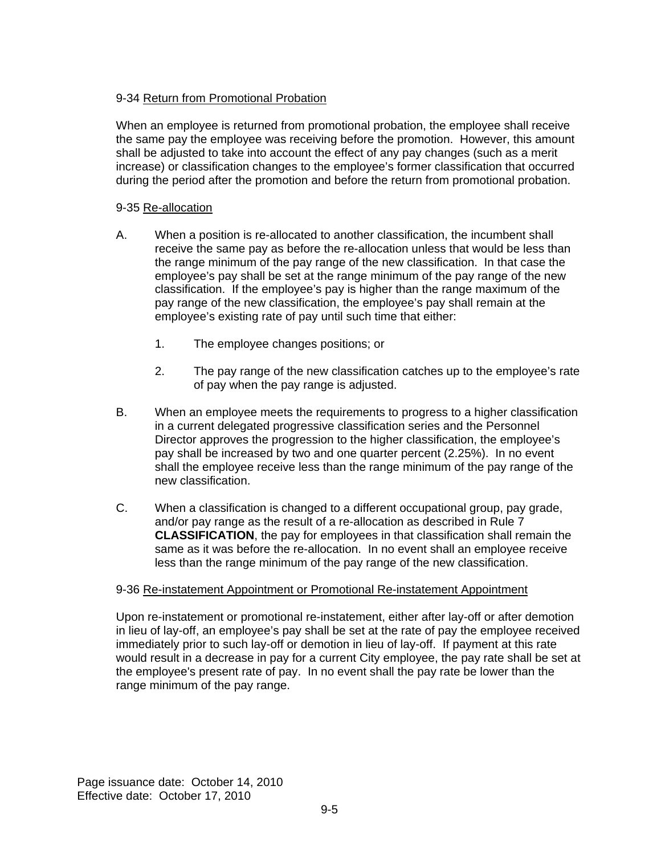## 9-34 Return from Promotional Probation

When an employee is returned from promotional probation, the employee shall receive the same pay the employee was receiving before the promotion. However, this amount shall be adjusted to take into account the effect of any pay changes (such as a merit increase) or classification changes to the employee's former classification that occurred during the period after the promotion and before the return from promotional probation.

### 9-35 Re-allocation

- A. When a position is re-allocated to another classification, the incumbent shall receive the same pay as before the re-allocation unless that would be less than the range minimum of the pay range of the new classification. In that case the employee's pay shall be set at the range minimum of the pay range of the new classification. If the employee's pay is higher than the range maximum of the pay range of the new classification, the employee's pay shall remain at the employee's existing rate of pay until such time that either:
	- 1. The employee changes positions; or
	- 2. The pay range of the new classification catches up to the employee's rate of pay when the pay range is adjusted.
- B. When an employee meets the requirements to progress to a higher classification in a current delegated progressive classification series and the Personnel Director approves the progression to the higher classification, the employee's pay shall be increased by two and one quarter percent (2.25%). In no event shall the employee receive less than the range minimum of the pay range of the new classification.
- C. When a classification is changed to a different occupational group, pay grade, and/or pay range as the result of a re-allocation as described in Rule 7 **CLASSIFICATION**, the pay for employees in that classification shall remain the same as it was before the re-allocation. In no event shall an employee receive less than the range minimum of the pay range of the new classification.

### 9-36 Re-instatement Appointment or Promotional Re-instatement Appointment

Upon re-instatement or promotional re-instatement, either after lay-off or after demotion in lieu of lay-off, an employee's pay shall be set at the rate of pay the employee received immediately prior to such lay-off or demotion in lieu of lay-off. If payment at this rate would result in a decrease in pay for a current City employee, the pay rate shall be set at the employee's present rate of pay. In no event shall the pay rate be lower than the range minimum of the pay range.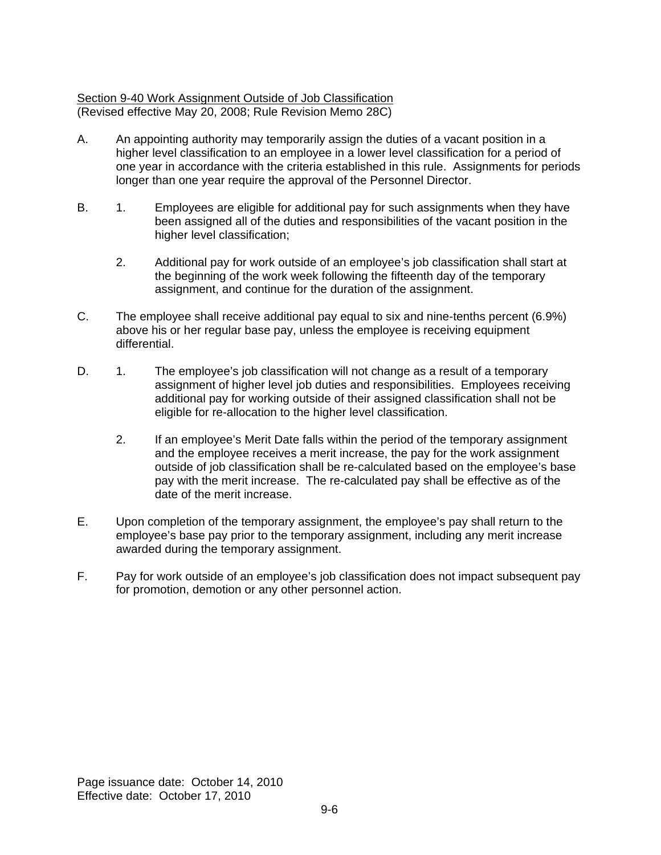### Section 9-40 Work Assignment Outside of Job Classification (Revised effective May 20, 2008; Rule Revision Memo 28C)

- A. An appointing authority may temporarily assign the duties of a vacant position in a higher level classification to an employee in a lower level classification for a period of one year in accordance with the criteria established in this rule. Assignments for periods longer than one year require the approval of the Personnel Director.
- B. 1. Employees are eligible for additional pay for such assignments when they have been assigned all of the duties and responsibilities of the vacant position in the higher level classification:
	- 2. Additional pay for work outside of an employee's job classification shall start at the beginning of the work week following the fifteenth day of the temporary assignment, and continue for the duration of the assignment.
- C. The employee shall receive additional pay equal to six and nine-tenths percent (6.9%) above his or her regular base pay, unless the employee is receiving equipment differential.
- D. 1. The employee's job classification will not change as a result of a temporary assignment of higher level job duties and responsibilities. Employees receiving additional pay for working outside of their assigned classification shall not be eligible for re-allocation to the higher level classification.
	- 2. If an employee's Merit Date falls within the period of the temporary assignment and the employee receives a merit increase, the pay for the work assignment outside of job classification shall be re-calculated based on the employee's base pay with the merit increase. The re-calculated pay shall be effective as of the date of the merit increase.
- E. Upon completion of the temporary assignment, the employee's pay shall return to the employee's base pay prior to the temporary assignment, including any merit increase awarded during the temporary assignment.
- F. Pay for work outside of an employee's job classification does not impact subsequent pay for promotion, demotion or any other personnel action.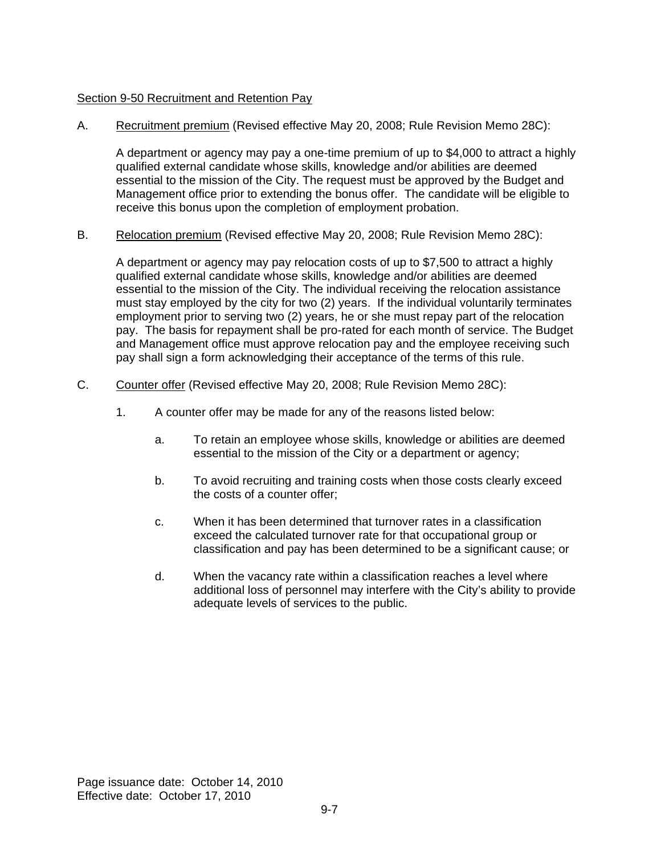#### Section 9-50 Recruitment and Retention Pay

A. Recruitment premium (Revised effective May 20, 2008; Rule Revision Memo 28C):

A department or agency may pay a one-time premium of up to \$4,000 to attract a highly qualified external candidate whose skills, knowledge and/or abilities are deemed essential to the mission of the City. The request must be approved by the Budget and Management office prior to extending the bonus offer. The candidate will be eligible to receive this bonus upon the completion of employment probation.

B. Relocation premium (Revised effective May 20, 2008; Rule Revision Memo 28C):

A department or agency may pay relocation costs of up to \$7,500 to attract a highly qualified external candidate whose skills, knowledge and/or abilities are deemed essential to the mission of the City. The individual receiving the relocation assistance must stay employed by the city for two (2) years. If the individual voluntarily terminates employment prior to serving two (2) years, he or she must repay part of the relocation pay. The basis for repayment shall be pro-rated for each month of service. The Budget and Management office must approve relocation pay and the employee receiving such pay shall sign a form acknowledging their acceptance of the terms of this rule.

- C. Counter offer (Revised effective May 20, 2008; Rule Revision Memo 28C):
	- 1. A counter offer may be made for any of the reasons listed below:
		- a. To retain an employee whose skills, knowledge or abilities are deemed essential to the mission of the City or a department or agency;
		- b. To avoid recruiting and training costs when those costs clearly exceed the costs of a counter offer;
		- c. When it has been determined that turnover rates in a classification exceed the calculated turnover rate for that occupational group or classification and pay has been determined to be a significant cause; or
		- d. When the vacancy rate within a classification reaches a level where additional loss of personnel may interfere with the City's ability to provide adequate levels of services to the public.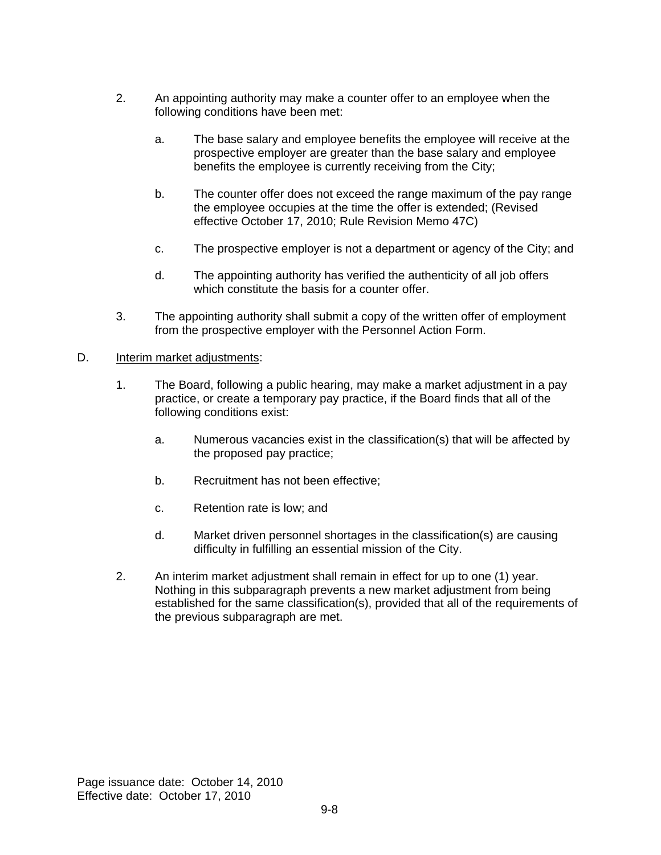- 2. An appointing authority may make a counter offer to an employee when the following conditions have been met:
	- a. The base salary and employee benefits the employee will receive at the prospective employer are greater than the base salary and employee benefits the employee is currently receiving from the City;
	- b. The counter offer does not exceed the range maximum of the pay range the employee occupies at the time the offer is extended; (Revised effective October 17, 2010; Rule Revision Memo 47C)
	- c. The prospective employer is not a department or agency of the City; and
	- d. The appointing authority has verified the authenticity of all job offers which constitute the basis for a counter offer.
- 3. The appointing authority shall submit a copy of the written offer of employment from the prospective employer with the Personnel Action Form.

#### D. **Interim market adjustments:**

- 1. The Board, following a public hearing, may make a market adjustment in a pay practice, or create a temporary pay practice, if the Board finds that all of the following conditions exist:
	- a. Numerous vacancies exist in the classification(s) that will be affected by the proposed pay practice;
	- b. Recruitment has not been effective;
	- c. Retention rate is low; and
	- d. Market driven personnel shortages in the classification(s) are causing difficulty in fulfilling an essential mission of the City.
- 2. An interim market adjustment shall remain in effect for up to one (1) year. Nothing in this subparagraph prevents a new market adjustment from being established for the same classification(s), provided that all of the requirements of the previous subparagraph are met.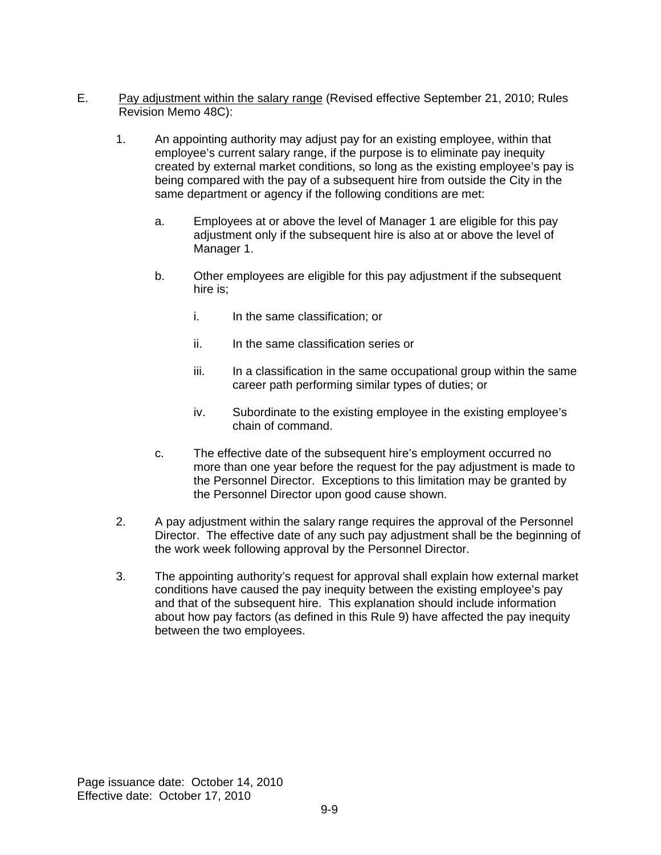- E. Pay adjustment within the salary range (Revised effective September 21, 2010; Rules Revision Memo 48C):
	- 1. An appointing authority may adjust pay for an existing employee, within that employee's current salary range, if the purpose is to eliminate pay inequity created by external market conditions, so long as the existing employee's pay is being compared with the pay of a subsequent hire from outside the City in the same department or agency if the following conditions are met:
		- a. Employees at or above the level of Manager 1 are eligible for this pay adjustment only if the subsequent hire is also at or above the level of Manager 1.
		- b. Other employees are eligible for this pay adjustment if the subsequent hire is;
			- i. In the same classification; or
			- ii. In the same classification series or
			- iii. In a classification in the same occupational group within the same career path performing similar types of duties; or
			- iv. Subordinate to the existing employee in the existing employee's chain of command.
		- c. The effective date of the subsequent hire's employment occurred no more than one year before the request for the pay adjustment is made to the Personnel Director. Exceptions to this limitation may be granted by the Personnel Director upon good cause shown.
	- 2. A pay adjustment within the salary range requires the approval of the Personnel Director. The effective date of any such pay adjustment shall be the beginning of the work week following approval by the Personnel Director.
	- 3. The appointing authority's request for approval shall explain how external market conditions have caused the pay inequity between the existing employee's pay and that of the subsequent hire. This explanation should include information about how pay factors (as defined in this Rule 9) have affected the pay inequity between the two employees.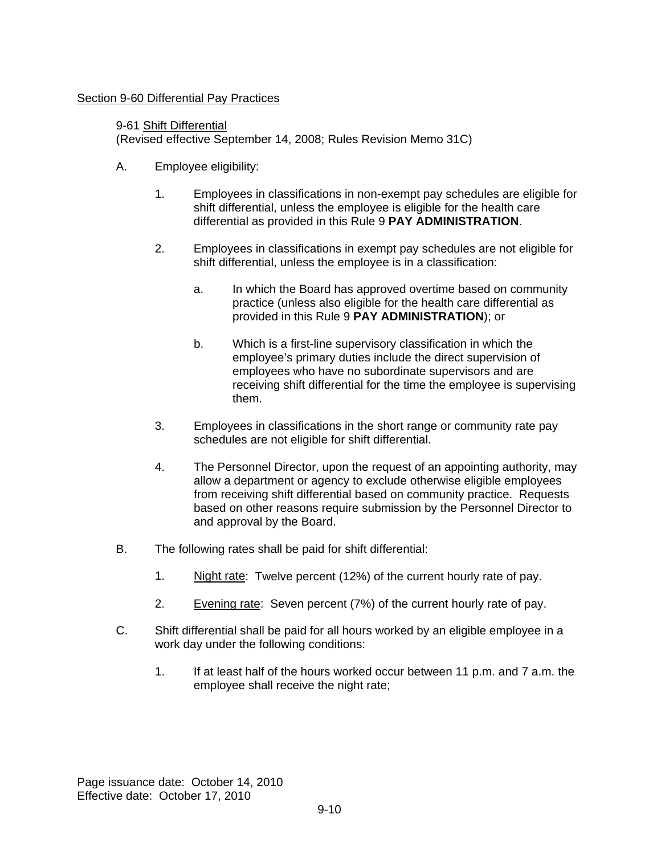### Section 9-60 Differential Pay Practices

#### 9-61 Shift Differential

(Revised effective September 14, 2008; Rules Revision Memo 31C)

- A. Employee eligibility:
	- 1. Employees in classifications in non-exempt pay schedules are eligible for shift differential, unless the employee is eligible for the health care differential as provided in this Rule 9 **PAY ADMINISTRATION**.
	- 2. Employees in classifications in exempt pay schedules are not eligible for shift differential, unless the employee is in a classification:
		- a. In which the Board has approved overtime based on community practice (unless also eligible for the health care differential as provided in this Rule 9 **PAY ADMINISTRATION**); or
		- b. Which is a first-line supervisory classification in which the employee's primary duties include the direct supervision of employees who have no subordinate supervisors and are receiving shift differential for the time the employee is supervising them.
	- 3. Employees in classifications in the short range or community rate pay schedules are not eligible for shift differential.
	- 4. The Personnel Director, upon the request of an appointing authority, may allow a department or agency to exclude otherwise eligible employees from receiving shift differential based on community practice. Requests based on other reasons require submission by the Personnel Director to and approval by the Board.
- B. The following rates shall be paid for shift differential:
	- 1. Night rate: Twelve percent (12%) of the current hourly rate of pay.
	- 2. Evening rate: Seven percent (7%) of the current hourly rate of pay.
- C. Shift differential shall be paid for all hours worked by an eligible employee in a work day under the following conditions:
	- 1. If at least half of the hours worked occur between 11 p.m. and 7 a.m. the employee shall receive the night rate;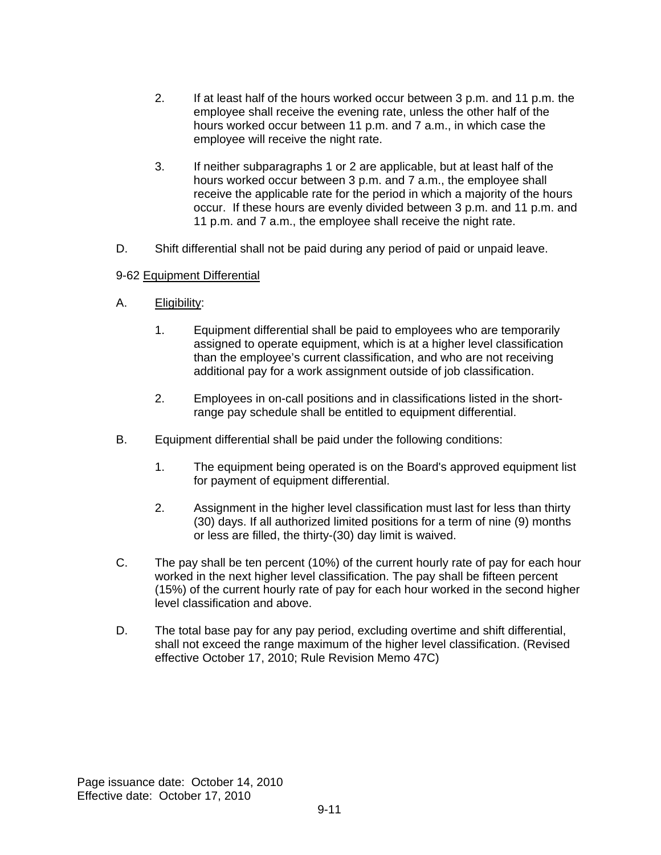- 2. If at least half of the hours worked occur between 3 p.m. and 11 p.m. the employee shall receive the evening rate, unless the other half of the hours worked occur between 11 p.m. and 7 a.m., in which case the employee will receive the night rate.
- 3. If neither subparagraphs 1 or 2 are applicable, but at least half of the hours worked occur between 3 p.m. and 7 a.m., the employee shall receive the applicable rate for the period in which a majority of the hours occur. If these hours are evenly divided between 3 p.m. and 11 p.m. and 11 p.m. and 7 a.m., the employee shall receive the night rate.
- D. Shift differential shall not be paid during any period of paid or unpaid leave.

### 9-62 Equipment Differential

- A. Eligibility:
	- 1. Equipment differential shall be paid to employees who are temporarily assigned to operate equipment, which is at a higher level classification than the employee's current classification, and who are not receiving additional pay for a work assignment outside of job classification.
	- 2. Employees in on-call positions and in classifications listed in the shortrange pay schedule shall be entitled to equipment differential.
- B. Equipment differential shall be paid under the following conditions:
	- 1. The equipment being operated is on the Board's approved equipment list for payment of equipment differential.
	- 2. Assignment in the higher level classification must last for less than thirty (30) days. If all authorized limited positions for a term of nine (9) months or less are filled, the thirty-(30) day limit is waived.
- C. The pay shall be ten percent (10%) of the current hourly rate of pay for each hour worked in the next higher level classification. The pay shall be fifteen percent (15%) of the current hourly rate of pay for each hour worked in the second higher level classification and above.
- D. The total base pay for any pay period, excluding overtime and shift differential, shall not exceed the range maximum of the higher level classification. (Revised effective October 17, 2010; Rule Revision Memo 47C)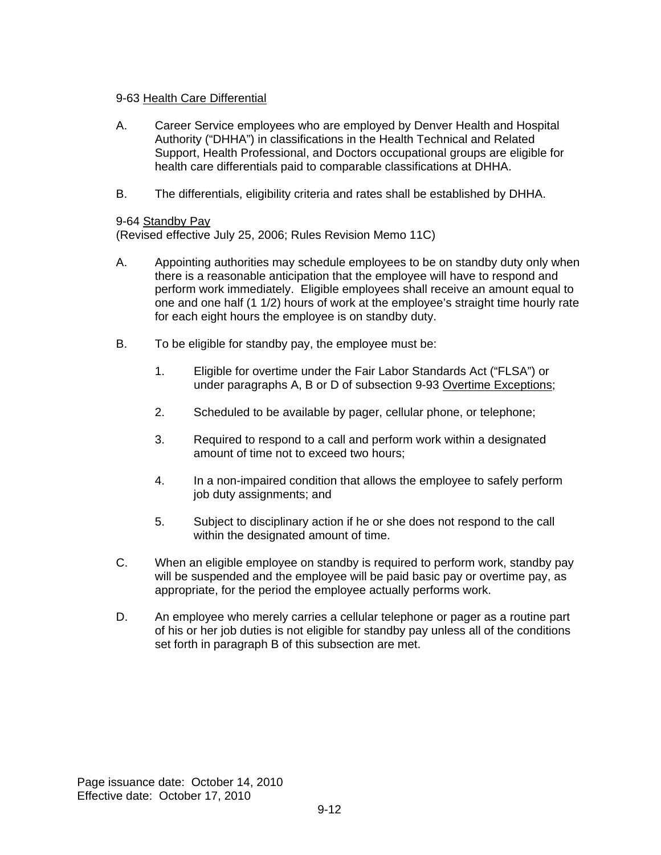### 9-63 Health Care Differential

- A. Career Service employees who are employed by Denver Health and Hospital Authority ("DHHA") in classifications in the Health Technical and Related Support, Health Professional, and Doctors occupational groups are eligible for health care differentials paid to comparable classifications at DHHA.
- B. The differentials, eligibility criteria and rates shall be established by DHHA.

### 9-64 Standby Pay

(Revised effective July 25, 2006; Rules Revision Memo 11C)

- A. Appointing authorities may schedule employees to be on standby duty only when there is a reasonable anticipation that the employee will have to respond and perform work immediately. Eligible employees shall receive an amount equal to one and one half (1 1/2) hours of work at the employee's straight time hourly rate for each eight hours the employee is on standby duty.
- B. To be eligible for standby pay, the employee must be:
	- 1. Eligible for overtime under the Fair Labor Standards Act ("FLSA") or under paragraphs A, B or D of subsection 9-93 Overtime Exceptions;
	- 2. Scheduled to be available by pager, cellular phone, or telephone;
	- 3. Required to respond to a call and perform work within a designated amount of time not to exceed two hours;
	- 4. In a non-impaired condition that allows the employee to safely perform job duty assignments; and
	- 5. Subject to disciplinary action if he or she does not respond to the call within the designated amount of time.
- C. When an eligible employee on standby is required to perform work, standby pay will be suspended and the employee will be paid basic pay or overtime pay, as appropriate, for the period the employee actually performs work.
- D. An employee who merely carries a cellular telephone or pager as a routine part of his or her job duties is not eligible for standby pay unless all of the conditions set forth in paragraph B of this subsection are met.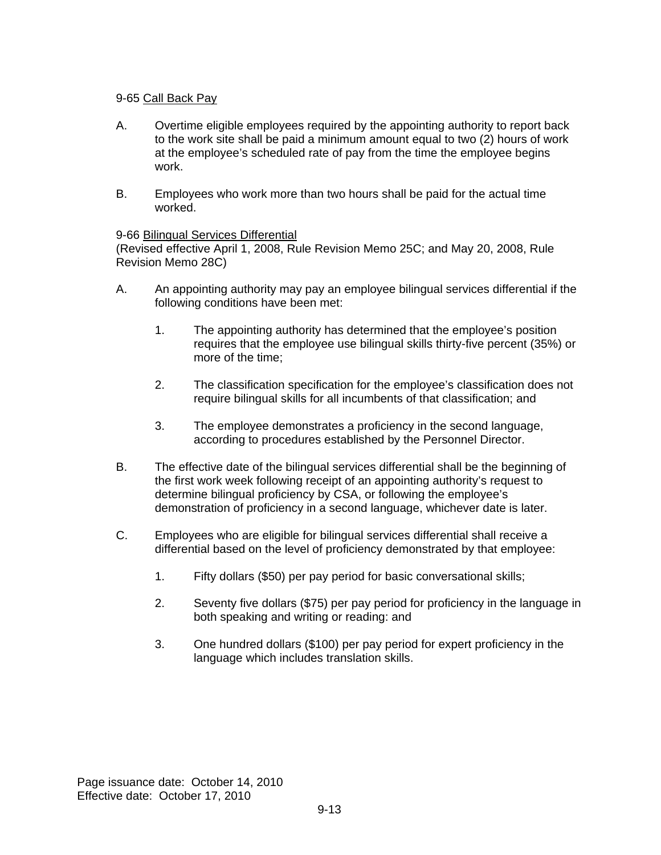### 9-65 Call Back Pay

- A. Overtime eligible employees required by the appointing authority to report back to the work site shall be paid a minimum amount equal to two (2) hours of work at the employee's scheduled rate of pay from the time the employee begins work.
- B. Employees who work more than two hours shall be paid for the actual time worked.

#### 9-66 Bilingual Services Differential

(Revised effective April 1, 2008, Rule Revision Memo 25C; and May 20, 2008, Rule Revision Memo 28C)

- A. An appointing authority may pay an employee bilingual services differential if the following conditions have been met:
	- 1. The appointing authority has determined that the employee's position requires that the employee use bilingual skills thirty-five percent (35%) or more of the time;
	- 2. The classification specification for the employee's classification does not require bilingual skills for all incumbents of that classification; and
	- 3. The employee demonstrates a proficiency in the second language, according to procedures established by the Personnel Director.
- B. The effective date of the bilingual services differential shall be the beginning of the first work week following receipt of an appointing authority's request to determine bilingual proficiency by CSA, or following the employee's demonstration of proficiency in a second language, whichever date is later.
- C. Employees who are eligible for bilingual services differential shall receive a differential based on the level of proficiency demonstrated by that employee:
	- 1. Fifty dollars (\$50) per pay period for basic conversational skills;
	- 2. Seventy five dollars (\$75) per pay period for proficiency in the language in both speaking and writing or reading: and
	- 3. One hundred dollars (\$100) per pay period for expert proficiency in the language which includes translation skills.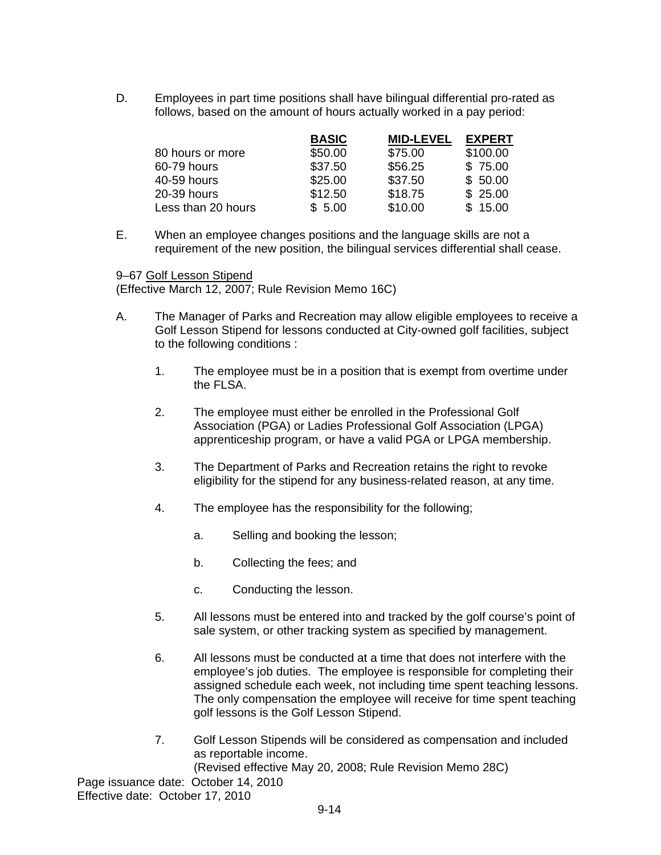D. Employees in part time positions shall have bilingual differential pro-rated as follows, based on the amount of hours actually worked in a pay period:

|                    | <b>BASIC</b> | <b>MID-LEVEL</b> | <b>EXPERT</b> |
|--------------------|--------------|------------------|---------------|
| 80 hours or more   | \$50.00      | \$75.00          | \$100.00      |
| 60-79 hours        | \$37.50      | \$56.25          | \$75.00       |
| 40-59 hours        | \$25.00      | \$37.50          | \$50.00       |
| 20-39 hours        | \$12.50      | \$18.75          | \$25.00       |
| Less than 20 hours | \$5.00       | \$10.00          | \$15.00       |

E. When an employee changes positions and the language skills are not a requirement of the new position, the bilingual services differential shall cease.

9–67 Golf Lesson Stipend

(Effective March 12, 2007; Rule Revision Memo 16C)

- A. The Manager of Parks and Recreation may allow eligible employees to receive a Golf Lesson Stipend for lessons conducted at City-owned golf facilities, subject to the following conditions :
	- 1. The employee must be in a position that is exempt from overtime under the FLSA.
	- 2. The employee must either be enrolled in the Professional Golf Association (PGA) or Ladies Professional Golf Association (LPGA) apprenticeship program, or have a valid PGA or LPGA membership.
	- 3. The Department of Parks and Recreation retains the right to revoke eligibility for the stipend for any business-related reason, at any time.
	- 4. The employee has the responsibility for the following;
		- a. Selling and booking the lesson;
		- b. Collecting the fees; and
		- c. Conducting the lesson.
	- 5. All lessons must be entered into and tracked by the golf course's point of sale system, or other tracking system as specified by management.
	- 6. All lessons must be conducted at a time that does not interfere with the employee's job duties. The employee is responsible for completing their assigned schedule each week, not including time spent teaching lessons. The only compensation the employee will receive for time spent teaching golf lessons is the Golf Lesson Stipend.
	- 7. Golf Lesson Stipends will be considered as compensation and included as reportable income.

(Revised effective May 20, 2008; Rule Revision Memo 28C)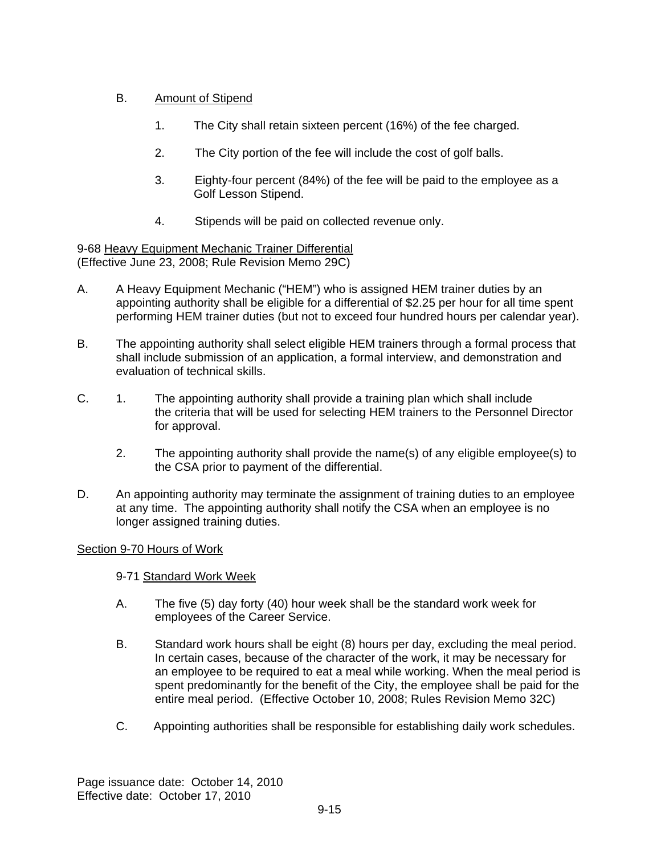## B. Amount of Stipend

- 1. The City shall retain sixteen percent (16%) of the fee charged.
- 2. The City portion of the fee will include the cost of golf balls.
- 3. Eighty-four percent (84%) of the fee will be paid to the employee as a Golf Lesson Stipend.
- 4. Stipends will be paid on collected revenue only.

9-68 Heavy Equipment Mechanic Trainer Differential (Effective June 23, 2008; Rule Revision Memo 29C)

- A. A Heavy Equipment Mechanic ("HEM") who is assigned HEM trainer duties by an appointing authority shall be eligible for a differential of \$2.25 per hour for all time spent performing HEM trainer duties (but not to exceed four hundred hours per calendar year).
- B. The appointing authority shall select eligible HEM trainers through a formal process that shall include submission of an application, a formal interview, and demonstration and evaluation of technical skills.
- C. 1. The appointing authority shall provide a training plan which shall include the criteria that will be used for selecting HEM trainers to the Personnel Director for approval.
	- 2. The appointing authority shall provide the name(s) of any eligible employee(s) to the CSA prior to payment of the differential.
- D. An appointing authority may terminate the assignment of training duties to an employee at any time. The appointing authority shall notify the CSA when an employee is no longer assigned training duties.

## Section 9-70 Hours of Work

9-71 Standard Work Week

- A. The five (5) day forty (40) hour week shall be the standard work week for employees of the Career Service.
- B. Standard work hours shall be eight (8) hours per day, excluding the meal period. In certain cases, because of the character of the work, it may be necessary for an employee to be required to eat a meal while working. When the meal period is spent predominantly for the benefit of the City, the employee shall be paid for the entire meal period. (Effective October 10, 2008; Rules Revision Memo 32C)
- C. Appointing authorities shall be responsible for establishing daily work schedules.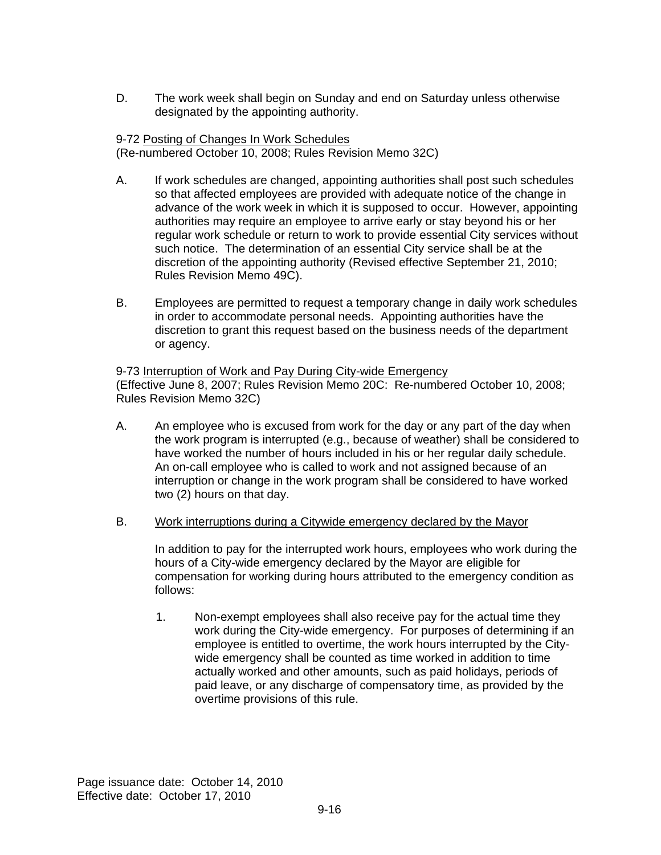D. The work week shall begin on Sunday and end on Saturday unless otherwise designated by the appointing authority.

#### 9-72 Posting of Changes In Work Schedules (Re-numbered October 10, 2008; Rules Revision Memo 32C)

- A. If work schedules are changed, appointing authorities shall post such schedules so that affected employees are provided with adequate notice of the change in advance of the work week in which it is supposed to occur. However, appointing authorities may require an employee to arrive early or stay beyond his or her regular work schedule or return to work to provide essential City services without such notice. The determination of an essential City service shall be at the discretion of the appointing authority (Revised effective September 21, 2010; Rules Revision Memo 49C).
- B. Employees are permitted to request a temporary change in daily work schedules in order to accommodate personal needs. Appointing authorities have the discretion to grant this request based on the business needs of the department or agency.

9-73 Interruption of Work and Pay During City-wide Emergency (Effective June 8, 2007; Rules Revision Memo 20C: Re-numbered October 10, 2008; Rules Revision Memo 32C)

- A. An employee who is excused from work for the day or any part of the day when the work program is interrupted (e.g., because of weather) shall be considered to have worked the number of hours included in his or her regular daily schedule. An on-call employee who is called to work and not assigned because of an interruption or change in the work program shall be considered to have worked two (2) hours on that day.
- B. Work interruptions during a Citywide emergency declared by the Mayor

In addition to pay for the interrupted work hours, employees who work during the hours of a City-wide emergency declared by the Mayor are eligible for compensation for working during hours attributed to the emergency condition as follows:

1. Non-exempt employees shall also receive pay for the actual time they work during the City-wide emergency. For purposes of determining if an employee is entitled to overtime, the work hours interrupted by the Citywide emergency shall be counted as time worked in addition to time actually worked and other amounts, such as paid holidays, periods of paid leave, or any discharge of compensatory time, as provided by the overtime provisions of this rule.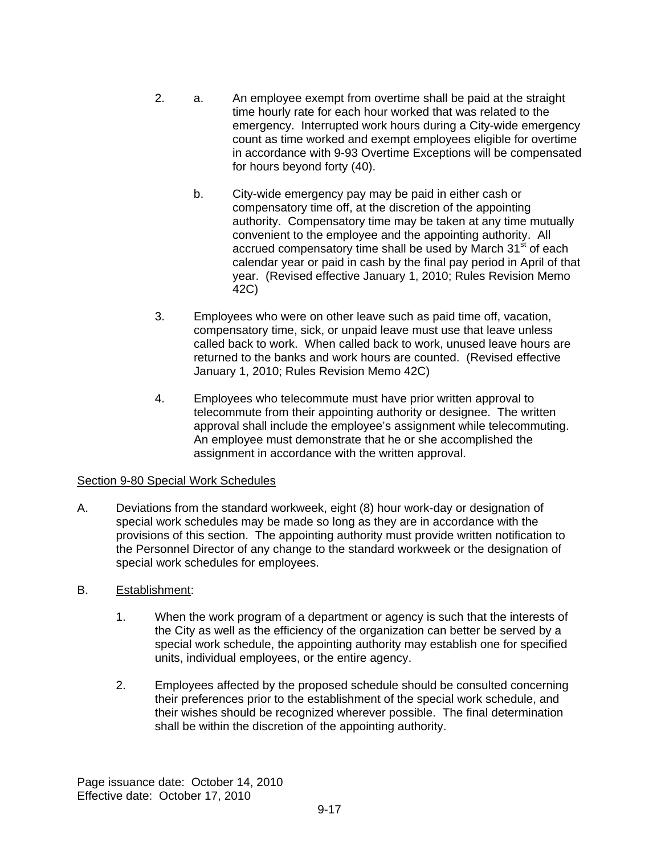- 2. a. An employee exempt from overtime shall be paid at the straight time hourly rate for each hour worked that was related to the emergency. Interrupted work hours during a City-wide emergency count as time worked and exempt employees eligible for overtime in accordance with 9-93 Overtime Exceptions will be compensated for hours beyond forty (40).
	- b. City-wide emergency pay may be paid in either cash or compensatory time off, at the discretion of the appointing authority. Compensatory time may be taken at any time mutually convenient to the employee and the appointing authority. All accrued compensatory time shall be used by March 31<sup>st</sup> of each calendar year or paid in cash by the final pay period in April of that year. (Revised effective January 1, 2010; Rules Revision Memo 42C)
- 3. Employees who were on other leave such as paid time off, vacation, compensatory time, sick, or unpaid leave must use that leave unless called back to work. When called back to work, unused leave hours are returned to the banks and work hours are counted. (Revised effective January 1, 2010; Rules Revision Memo 42C)
- 4. Employees who telecommute must have prior written approval to telecommute from their appointing authority or designee. The written approval shall include the employee's assignment while telecommuting. An employee must demonstrate that he or she accomplished the assignment in accordance with the written approval.

## Section 9-80 Special Work Schedules

A. Deviations from the standard workweek, eight (8) hour work-day or designation of special work schedules may be made so long as they are in accordance with the provisions of this section. The appointing authority must provide written notification to the Personnel Director of any change to the standard workweek or the designation of special work schedules for employees.

## B. Establishment:

- 1. When the work program of a department or agency is such that the interests of the City as well as the efficiency of the organization can better be served by a special work schedule, the appointing authority may establish one for specified units, individual employees, or the entire agency.
- 2. Employees affected by the proposed schedule should be consulted concerning their preferences prior to the establishment of the special work schedule, and their wishes should be recognized wherever possible. The final determination shall be within the discretion of the appointing authority.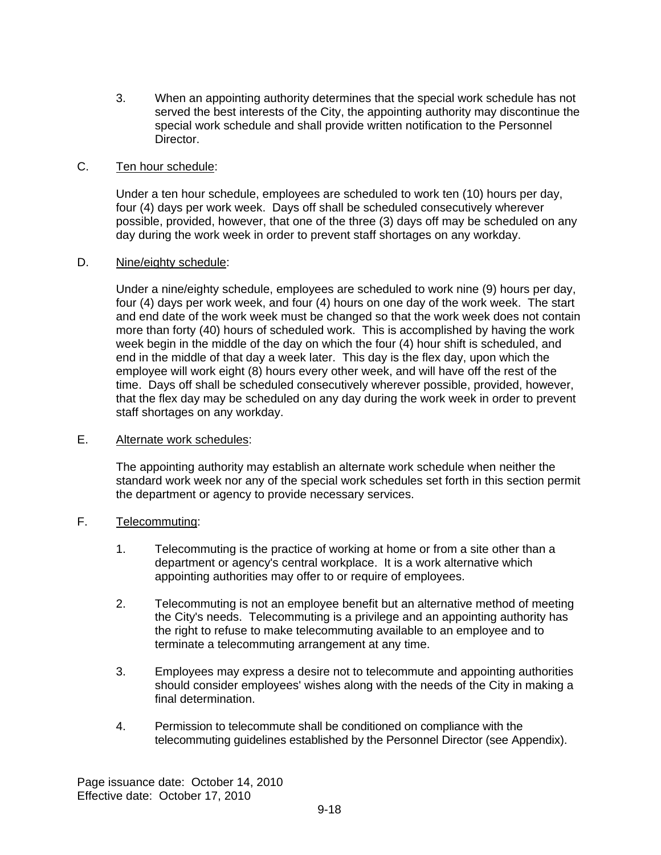3. When an appointing authority determines that the special work schedule has not served the best interests of the City, the appointing authority may discontinue the special work schedule and shall provide written notification to the Personnel Director.

### C. Ten hour schedule:

Under a ten hour schedule, employees are scheduled to work ten (10) hours per day, four (4) days per work week. Days off shall be scheduled consecutively wherever possible, provided, however, that one of the three (3) days off may be scheduled on any day during the work week in order to prevent staff shortages on any workday.

#### D. Nine/eighty schedule:

Under a nine/eighty schedule, employees are scheduled to work nine (9) hours per day, four (4) days per work week, and four (4) hours on one day of the work week. The start and end date of the work week must be changed so that the work week does not contain more than forty (40) hours of scheduled work. This is accomplished by having the work week begin in the middle of the day on which the four (4) hour shift is scheduled, and end in the middle of that day a week later. This day is the flex day, upon which the employee will work eight (8) hours every other week, and will have off the rest of the time. Days off shall be scheduled consecutively wherever possible, provided, however, that the flex day may be scheduled on any day during the work week in order to prevent staff shortages on any workday.

### E. Alternate work schedules:

The appointing authority may establish an alternate work schedule when neither the standard work week nor any of the special work schedules set forth in this section permit the department or agency to provide necessary services.

### F. Telecommuting:

- 1. Telecommuting is the practice of working at home or from a site other than a department or agency's central workplace. It is a work alternative which appointing authorities may offer to or require of employees.
- 2. Telecommuting is not an employee benefit but an alternative method of meeting the City's needs. Telecommuting is a privilege and an appointing authority has the right to refuse to make telecommuting available to an employee and to terminate a telecommuting arrangement at any time.
- 3. Employees may express a desire not to telecommute and appointing authorities should consider employees' wishes along with the needs of the City in making a final determination.
- 4. Permission to telecommute shall be conditioned on compliance with the telecommuting guidelines established by the Personnel Director (see Appendix).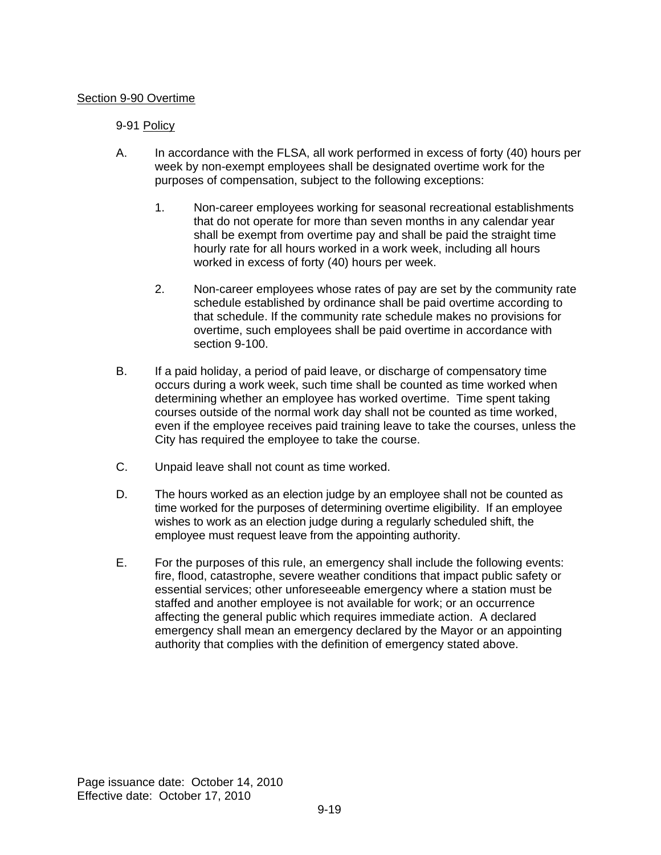### Section 9-90 Overtime

### 9-91 Policy

- A. In accordance with the FLSA, all work performed in excess of forty (40) hours per week by non-exempt employees shall be designated overtime work for the purposes of compensation, subject to the following exceptions:
	- 1. Non-career employees working for seasonal recreational establishments that do not operate for more than seven months in any calendar year shall be exempt from overtime pay and shall be paid the straight time hourly rate for all hours worked in a work week, including all hours worked in excess of forty (40) hours per week.
	- 2. Non-career employees whose rates of pay are set by the community rate schedule established by ordinance shall be paid overtime according to that schedule. If the community rate schedule makes no provisions for overtime, such employees shall be paid overtime in accordance with section 9-100.
- B. If a paid holiday, a period of paid leave, or discharge of compensatory time occurs during a work week, such time shall be counted as time worked when determining whether an employee has worked overtime. Time spent taking courses outside of the normal work day shall not be counted as time worked, even if the employee receives paid training leave to take the courses, unless the City has required the employee to take the course.
- C. Unpaid leave shall not count as time worked.
- D. The hours worked as an election judge by an employee shall not be counted as time worked for the purposes of determining overtime eligibility. If an employee wishes to work as an election judge during a regularly scheduled shift, the employee must request leave from the appointing authority.
- E. For the purposes of this rule, an emergency shall include the following events: fire, flood, catastrophe, severe weather conditions that impact public safety or essential services; other unforeseeable emergency where a station must be staffed and another employee is not available for work; or an occurrence affecting the general public which requires immediate action. A declared emergency shall mean an emergency declared by the Mayor or an appointing authority that complies with the definition of emergency stated above.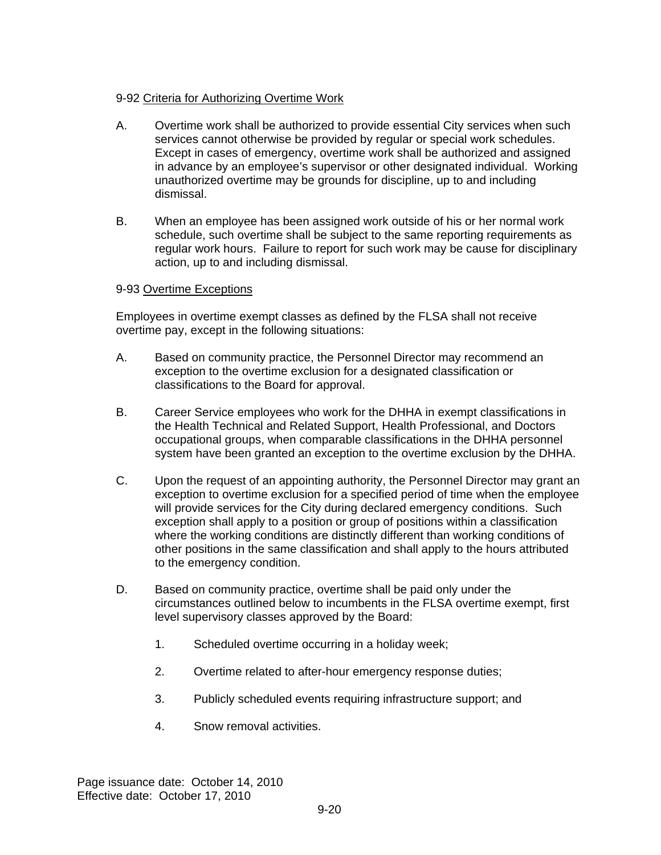## 9-92 Criteria for Authorizing Overtime Work

- A. Overtime work shall be authorized to provide essential City services when such services cannot otherwise be provided by regular or special work schedules. Except in cases of emergency, overtime work shall be authorized and assigned in advance by an employee's supervisor or other designated individual. Working unauthorized overtime may be grounds for discipline, up to and including dismissal.
- B. When an employee has been assigned work outside of his or her normal work schedule, such overtime shall be subject to the same reporting requirements as regular work hours. Failure to report for such work may be cause for disciplinary action, up to and including dismissal.

### 9-93 Overtime Exceptions

Employees in overtime exempt classes as defined by the FLSA shall not receive overtime pay, except in the following situations:

- A. Based on community practice, the Personnel Director may recommend an exception to the overtime exclusion for a designated classification or classifications to the Board for approval.
- B. Career Service employees who work for the DHHA in exempt classifications in the Health Technical and Related Support, Health Professional, and Doctors occupational groups, when comparable classifications in the DHHA personnel system have been granted an exception to the overtime exclusion by the DHHA.
- C. Upon the request of an appointing authority, the Personnel Director may grant an exception to overtime exclusion for a specified period of time when the employee will provide services for the City during declared emergency conditions. Such exception shall apply to a position or group of positions within a classification where the working conditions are distinctly different than working conditions of other positions in the same classification and shall apply to the hours attributed to the emergency condition.
- D. Based on community practice, overtime shall be paid only under the circumstances outlined below to incumbents in the FLSA overtime exempt, first level supervisory classes approved by the Board:
	- 1. Scheduled overtime occurring in a holiday week;
	- 2. Overtime related to after-hour emergency response duties;
	- 3. Publicly scheduled events requiring infrastructure support; and
	- 4. Snow removal activities.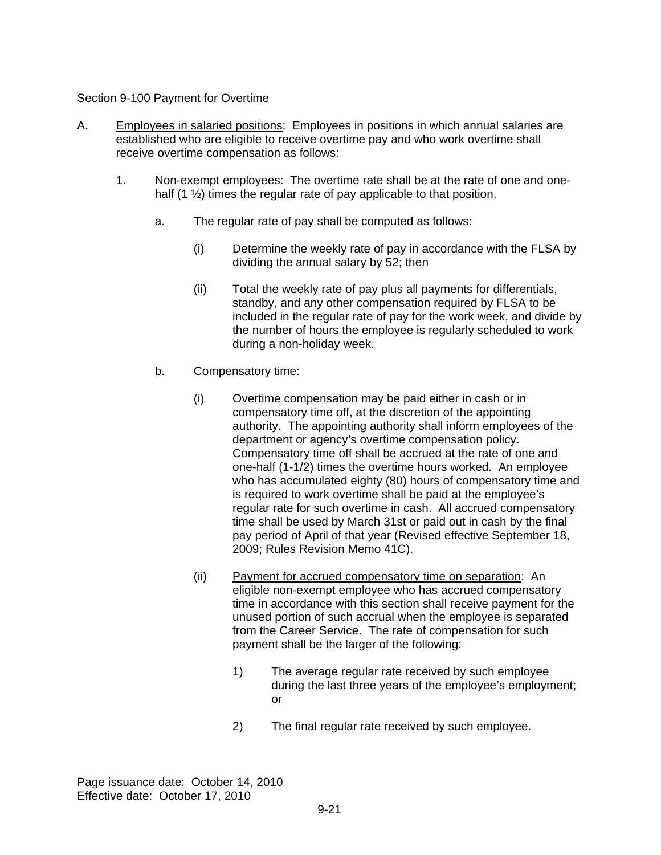### Section 9-100 Payment for Overtime

- A. Employees in salaried positions: Employees in positions in which annual salaries are established who are eligible to receive overtime pay and who work overtime shall receive overtime compensation as follows:
	- 1. Non-exempt employees: The overtime rate shall be at the rate of one and onehalf  $(1 \frac{1}{2})$  times the regular rate of pay applicable to that position.
		- a. The regular rate of pay shall be computed as follows:
			- (i) Determine the weekly rate of pay in accordance with the FLSA by dividing the annual salary by 52; then
			- (ii) Total the weekly rate of pay plus all payments for differentials, standby, and any other compensation required by FLSA to be included in the regular rate of pay for the work week, and divide by the number of hours the employee is regularly scheduled to work during a non-holiday week.
		- b. Compensatory time:
			- (i) Overtime compensation may be paid either in cash or in compensatory time off, at the discretion of the appointing authority. The appointing authority shall inform employees of the department or agency's overtime compensation policy. Compensatory time off shall be accrued at the rate of one and one-half (1-1/2) times the overtime hours worked. An employee who has accumulated eighty (80) hours of compensatory time and is required to work overtime shall be paid at the employee's regular rate for such overtime in cash. All accrued compensatory time shall be used by March 31st or paid out in cash by the final pay period of April of that year (Revised effective September 18, 2009; Rules Revision Memo 41C).
			- (ii) Payment for accrued compensatory time on separation: An eligible non-exempt employee who has accrued compensatory time in accordance with this section shall receive payment for the unused portion of such accrual when the employee is separated from the Career Service. The rate of compensation for such payment shall be the larger of the following:
				- 1) The average regular rate received by such employee during the last three years of the employee's employment; or
				- 2) The final regular rate received by such employee.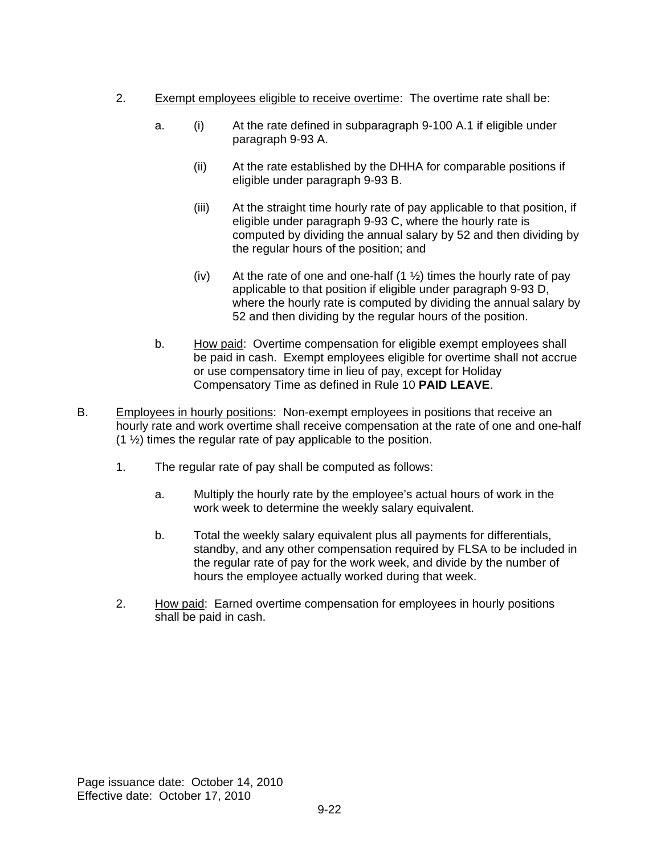- 2. Exempt employees eligible to receive overtime: The overtime rate shall be:
	- a. (i) At the rate defined in subparagraph 9-100 A.1 if eligible under paragraph 9-93 A.
		- (ii) At the rate established by the DHHA for comparable positions if eligible under paragraph 9-93 B.
		- (iii) At the straight time hourly rate of pay applicable to that position, if eligible under paragraph 9-93 C, where the hourly rate is computed by dividing the annual salary by 52 and then dividing by the regular hours of the position; and
		- (iv) At the rate of one and one-half  $(1 \frac{1}{2})$  times the hourly rate of pay applicable to that position if eligible under paragraph 9-93 D, where the hourly rate is computed by dividing the annual salary by 52 and then dividing by the regular hours of the position.
	- b. How paid: Overtime compensation for eligible exempt employees shall be paid in cash. Exempt employees eligible for overtime shall not accrue or use compensatory time in lieu of pay, except for Holiday Compensatory Time as defined in Rule 10 **PAID LEAVE**.
- B. Employees in hourly positions: Non-exempt employees in positions that receive an hourly rate and work overtime shall receive compensation at the rate of one and one-half  $(1 \frac{1}{2})$  times the regular rate of pay applicable to the position.
	- 1. The regular rate of pay shall be computed as follows:
		- a. Multiply the hourly rate by the employee's actual hours of work in the work week to determine the weekly salary equivalent.
		- b. Total the weekly salary equivalent plus all payments for differentials, standby, and any other compensation required by FLSA to be included in the regular rate of pay for the work week, and divide by the number of hours the employee actually worked during that week.
	- 2. How paid: Earned overtime compensation for employees in hourly positions shall be paid in cash.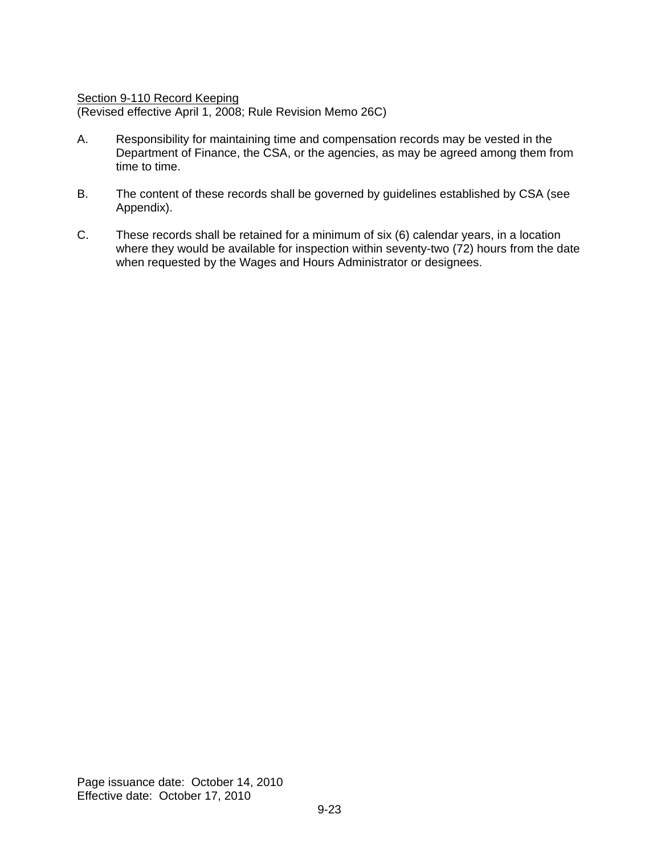Section 9-110 Record Keeping

(Revised effective April 1, 2008; Rule Revision Memo 26C)

- A. Responsibility for maintaining time and compensation records may be vested in the Department of Finance, the CSA, or the agencies, as may be agreed among them from time to time.
- B. The content of these records shall be governed by guidelines established by CSA (see Appendix).
- C. These records shall be retained for a minimum of six (6) calendar years, in a location where they would be available for inspection within seventy-two (72) hours from the date when requested by the Wages and Hours Administrator or designees.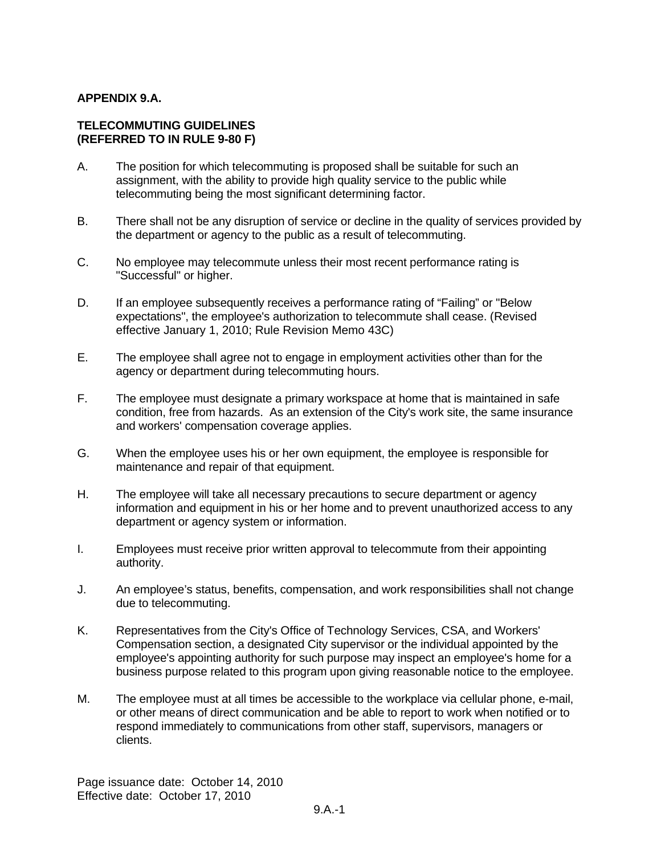### **APPENDIX 9.A.**

#### **TELECOMMUTING GUIDELINES (REFERRED TO IN RULE 9-80 F)**

- A. The position for which telecommuting is proposed shall be suitable for such an assignment, with the ability to provide high quality service to the public while telecommuting being the most significant determining factor.
- B. There shall not be any disruption of service or decline in the quality of services provided by the department or agency to the public as a result of telecommuting.
- C. No employee may telecommute unless their most recent performance rating is "Successful" or higher.
- D. If an employee subsequently receives a performance rating of "Failing" or "Below expectations", the employee's authorization to telecommute shall cease. (Revised effective January 1, 2010; Rule Revision Memo 43C)
- E. The employee shall agree not to engage in employment activities other than for the agency or department during telecommuting hours.
- F. The employee must designate a primary workspace at home that is maintained in safe condition, free from hazards. As an extension of the City's work site, the same insurance and workers' compensation coverage applies.
- G. When the employee uses his or her own equipment, the employee is responsible for maintenance and repair of that equipment.
- H. The employee will take all necessary precautions to secure department or agency information and equipment in his or her home and to prevent unauthorized access to any department or agency system or information.
- I. Employees must receive prior written approval to telecommute from their appointing authority.
- J. An employee's status, benefits, compensation, and work responsibilities shall not change due to telecommuting.
- K. Representatives from the City's Office of Technology Services, CSA, and Workers' Compensation section, a designated City supervisor or the individual appointed by the employee's appointing authority for such purpose may inspect an employee's home for a business purpose related to this program upon giving reasonable notice to the employee.
- M. The employee must at all times be accessible to the workplace via cellular phone, e-mail, or other means of direct communication and be able to report to work when notified or to respond immediately to communications from other staff, supervisors, managers or clients.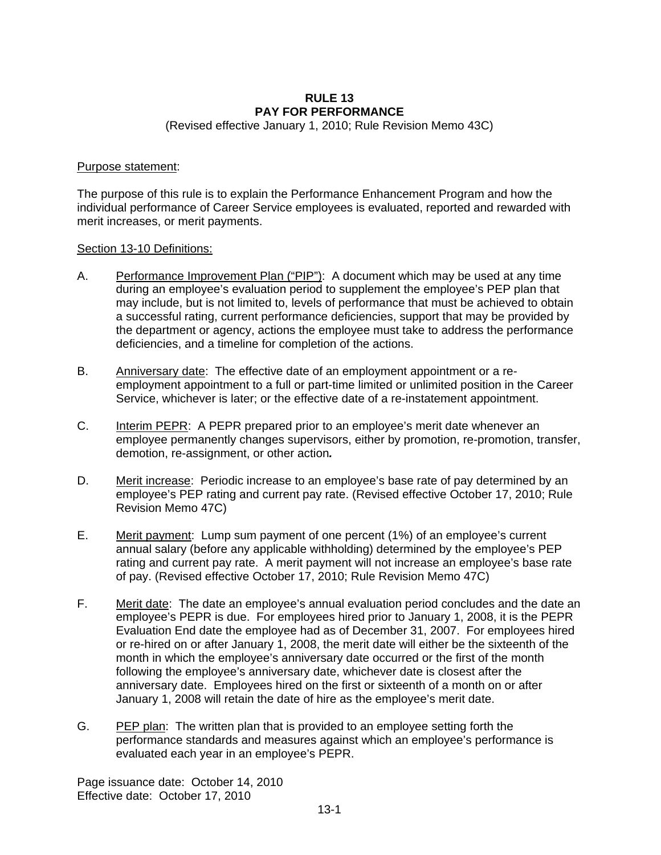#### **RULE 13 PAY FOR PERFORMANCE**

(Revised effective January 1, 2010; Rule Revision Memo 43C)

#### Purpose statement:

The purpose of this rule is to explain the Performance Enhancement Program and how the individual performance of Career Service employees is evaluated, reported and rewarded with merit increases, or merit payments.

#### Section 13-10 Definitions:

- A. Performance Improvement Plan ("PIP"): A document which may be used at any time during an employee's evaluation period to supplement the employee's PEP plan that may include, but is not limited to, levels of performance that must be achieved to obtain a successful rating, current performance deficiencies, support that may be provided by the department or agency, actions the employee must take to address the performance deficiencies, and a timeline for completion of the actions.
- B. Anniversary date: The effective date of an employment appointment or a reemployment appointment to a full or part-time limited or unlimited position in the Career Service, whichever is later; or the effective date of a re-instatement appointment.
- C. Interim PEPR: A PEPR prepared prior to an employee's merit date whenever an employee permanently changes supervisors, either by promotion, re-promotion, transfer, demotion, re-assignment, or other action*.*
- D. Merit increase: Periodic increase to an employee's base rate of pay determined by an employee's PEP rating and current pay rate. (Revised effective October 17, 2010; Rule Revision Memo 47C)
- E. Merit payment: Lump sum payment of one percent (1%) of an employee's current annual salary (before any applicable withholding) determined by the employee's PEP rating and current pay rate. A merit payment will not increase an employee's base rate of pay. (Revised effective October 17, 2010; Rule Revision Memo 47C)
- F. Merit date: The date an employee's annual evaluation period concludes and the date an employee's PEPR is due. For employees hired prior to January 1, 2008, it is the PEPR Evaluation End date the employee had as of December 31, 2007. For employees hired or re-hired on or after January 1, 2008, the merit date will either be the sixteenth of the month in which the employee's anniversary date occurred or the first of the month following the employee's anniversary date, whichever date is closest after the anniversary date. Employees hired on the first or sixteenth of a month on or after January 1, 2008 will retain the date of hire as the employee's merit date.
- G. PEP plan: The written plan that is provided to an employee setting forth the performance standards and measures against which an employee's performance is evaluated each year in an employee's PEPR.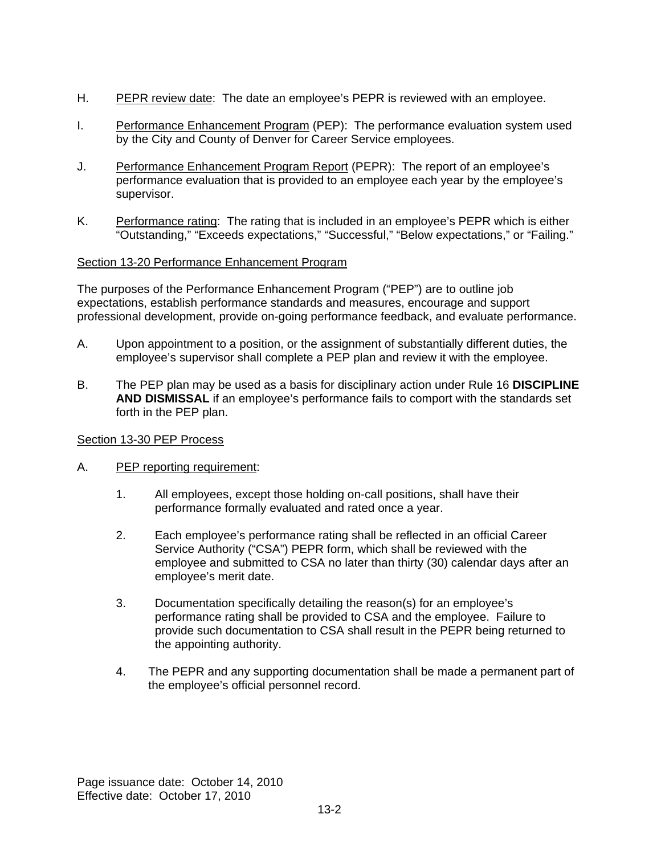- H. PEPR review date: The date an employee's PEPR is reviewed with an employee.
- I. Performance Enhancement Program (PEP): The performance evaluation system used by the City and County of Denver for Career Service employees.
- J. Performance Enhancement Program Report (PEPR): The report of an employee's performance evaluation that is provided to an employee each year by the employee's supervisor.
- K. Performance rating: The rating that is included in an employee's PEPR which is either "Outstanding," "Exceeds expectations," "Successful," "Below expectations," or "Failing."

### Section 13-20 Performance Enhancement Program

The purposes of the Performance Enhancement Program ("PEP") are to outline job expectations, establish performance standards and measures, encourage and support professional development, provide on-going performance feedback, and evaluate performance.

- A. Upon appointment to a position, or the assignment of substantially different duties, the employee's supervisor shall complete a PEP plan and review it with the employee.
- B. The PEP plan may be used as a basis for disciplinary action under Rule 16 **DISCIPLINE AND DISMISSAL** if an employee's performance fails to comport with the standards set forth in the PEP plan.

#### Section 13-30 PEP Process

- A. PEP reporting requirement:
	- 1. All employees, except those holding on-call positions, shall have their performance formally evaluated and rated once a year.
	- 2. Each employee's performance rating shall be reflected in an official Career Service Authority ("CSA") PEPR form, which shall be reviewed with the employee and submitted to CSA no later than thirty (30) calendar days after an employee's merit date.
	- 3. Documentation specifically detailing the reason(s) for an employee's performance rating shall be provided to CSA and the employee. Failure to provide such documentation to CSA shall result in the PEPR being returned to the appointing authority.
	- 4. The PEPR and any supporting documentation shall be made a permanent part of the employee's official personnel record.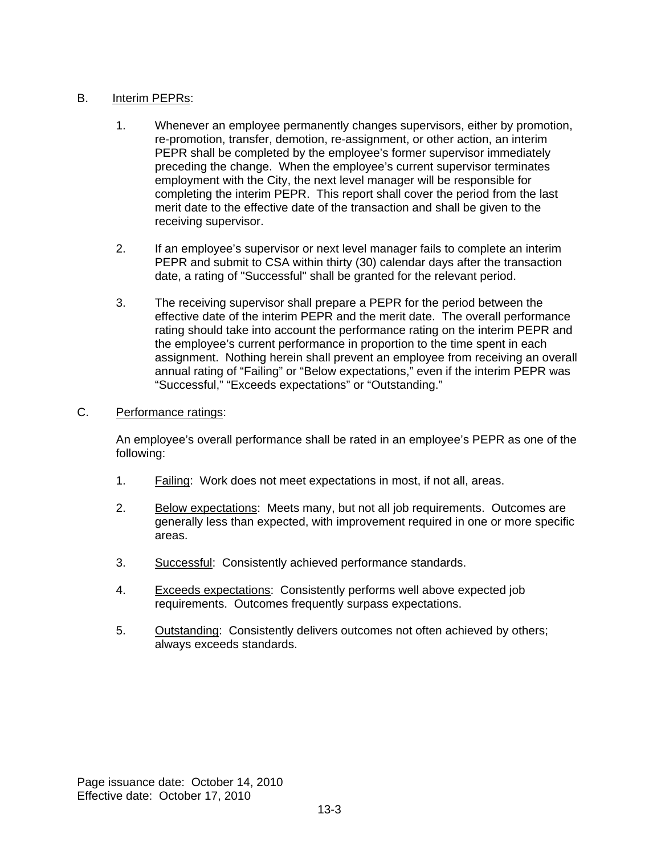### B. Interim PEPRs:

- 1. Whenever an employee permanently changes supervisors, either by promotion, re-promotion, transfer, demotion, re-assignment, or other action, an interim PEPR shall be completed by the employee's former supervisor immediately preceding the change. When the employee's current supervisor terminates employment with the City, the next level manager will be responsible for completing the interim PEPR. This report shall cover the period from the last merit date to the effective date of the transaction and shall be given to the receiving supervisor.
- 2. If an employee's supervisor or next level manager fails to complete an interim PEPR and submit to CSA within thirty (30) calendar days after the transaction date, a rating of "Successful" shall be granted for the relevant period.
- 3. The receiving supervisor shall prepare a PEPR for the period between the effective date of the interim PEPR and the merit date. The overall performance rating should take into account the performance rating on the interim PEPR and the employee's current performance in proportion to the time spent in each assignment. Nothing herein shall prevent an employee from receiving an overall annual rating of "Failing" or "Below expectations," even if the interim PEPR was "Successful," "Exceeds expectations" or "Outstanding."

### C. Performance ratings:

An employee's overall performance shall be rated in an employee's PEPR as one of the following:

- 1. Failing: Work does not meet expectations in most, if not all, areas.
- 2. Below expectations: Meets many, but not all job requirements. Outcomes are generally less than expected, with improvement required in one or more specific areas.
- 3. Successful: Consistently achieved performance standards.
- 4. Exceeds expectations: Consistently performs well above expected job requirements. Outcomes frequently surpass expectations.
- 5. Outstanding: Consistently delivers outcomes not often achieved by others; always exceeds standards.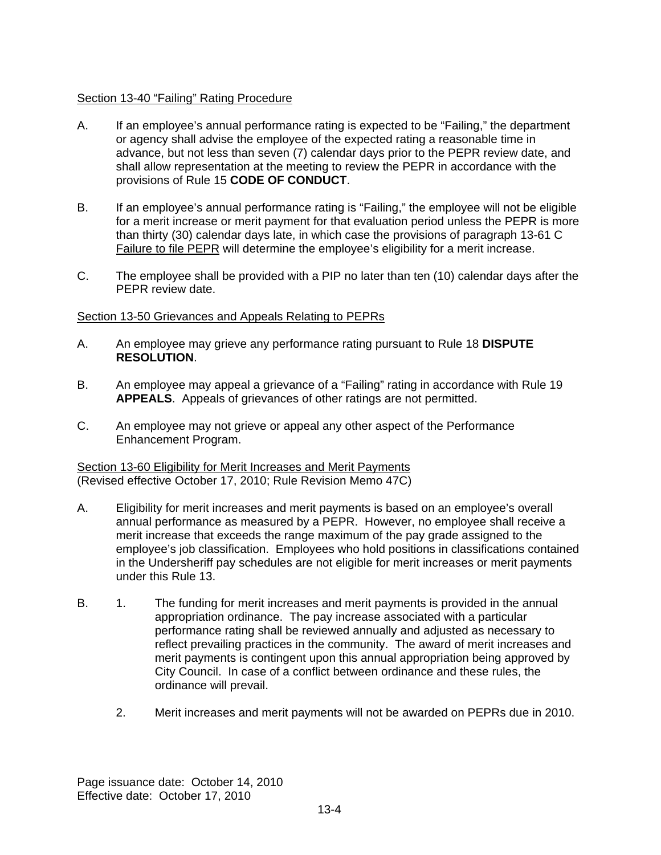### Section 13-40 "Failing" Rating Procedure

- A. If an employee's annual performance rating is expected to be "Failing," the department or agency shall advise the employee of the expected rating a reasonable time in advance, but not less than seven (7) calendar days prior to the PEPR review date, and shall allow representation at the meeting to review the PEPR in accordance with the provisions of Rule 15 **CODE OF CONDUCT**.
- B. If an employee's annual performance rating is "Failing," the employee will not be eligible for a merit increase or merit payment for that evaluation period unless the PEPR is more than thirty (30) calendar days late, in which case the provisions of paragraph 13-61 C Failure to file PEPR will determine the employee's eligibility for a merit increase.
- C. The employee shall be provided with a PIP no later than ten (10) calendar days after the PEPR review date.

### Section 13-50 Grievances and Appeals Relating to PEPRs

- A. An employee may grieve any performance rating pursuant to Rule 18 **DISPUTE RESOLUTION**.
- B. An employee may appeal a grievance of a "Failing" rating in accordance with Rule 19 **APPEALS**. Appeals of grievances of other ratings are not permitted.
- C. An employee may not grieve or appeal any other aspect of the Performance Enhancement Program.

### Section 13-60 Eligibility for Merit Increases and Merit Payments (Revised effective October 17, 2010; Rule Revision Memo 47C)

- A. Eligibility for merit increases and merit payments is based on an employee's overall annual performance as measured by a PEPR. However, no employee shall receive a merit increase that exceeds the range maximum of the pay grade assigned to the employee's job classification. Employees who hold positions in classifications contained in the Undersheriff pay schedules are not eligible for merit increases or merit payments under this Rule 13.
- B. 1. The funding for merit increases and merit payments is provided in the annual appropriation ordinance. The pay increase associated with a particular performance rating shall be reviewed annually and adjusted as necessary to reflect prevailing practices in the community. The award of merit increases and merit payments is contingent upon this annual appropriation being approved by City Council. In case of a conflict between ordinance and these rules, the ordinance will prevail.
	- 2. Merit increases and merit payments will not be awarded on PEPRs due in 2010.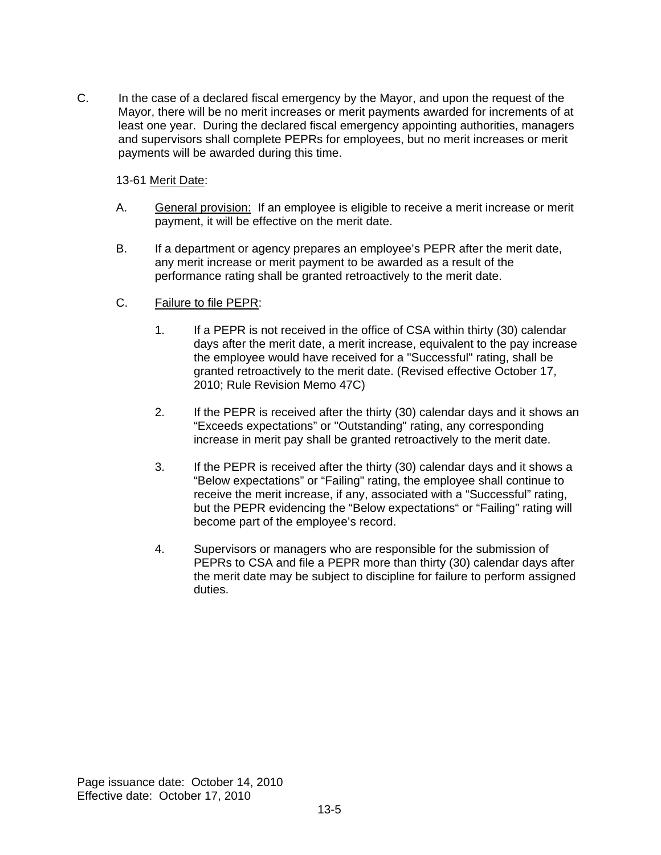C. In the case of a declared fiscal emergency by the Mayor, and upon the request of the Mayor, there will be no merit increases or merit payments awarded for increments of at least one year. During the declared fiscal emergency appointing authorities, managers and supervisors shall complete PEPRs for employees, but no merit increases or merit payments will be awarded during this time.

### 13-61 Merit Date:

- A. General provision: If an employee is eligible to receive a merit increase or merit payment, it will be effective on the merit date.
- B. If a department or agency prepares an employee's PEPR after the merit date, any merit increase or merit payment to be awarded as a result of the performance rating shall be granted retroactively to the merit date.
- C. Failure to file PEPR:
	- 1. If a PEPR is not received in the office of CSA within thirty (30) calendar days after the merit date, a merit increase, equivalent to the pay increase the employee would have received for a "Successful" rating, shall be granted retroactively to the merit date. (Revised effective October 17, 2010; Rule Revision Memo 47C)
	- 2. If the PEPR is received after the thirty (30) calendar days and it shows an "Exceeds expectations" or "Outstanding" rating, any corresponding increase in merit pay shall be granted retroactively to the merit date.
	- 3. If the PEPR is received after the thirty (30) calendar days and it shows a "Below expectations" or "Failing" rating, the employee shall continue to receive the merit increase, if any, associated with a "Successful" rating, but the PEPR evidencing the "Below expectations" or "Failing" rating will become part of the employee's record.
	- 4. Supervisors or managers who are responsible for the submission of PEPRs to CSA and file a PEPR more than thirty (30) calendar days after the merit date may be subject to discipline for failure to perform assigned duties.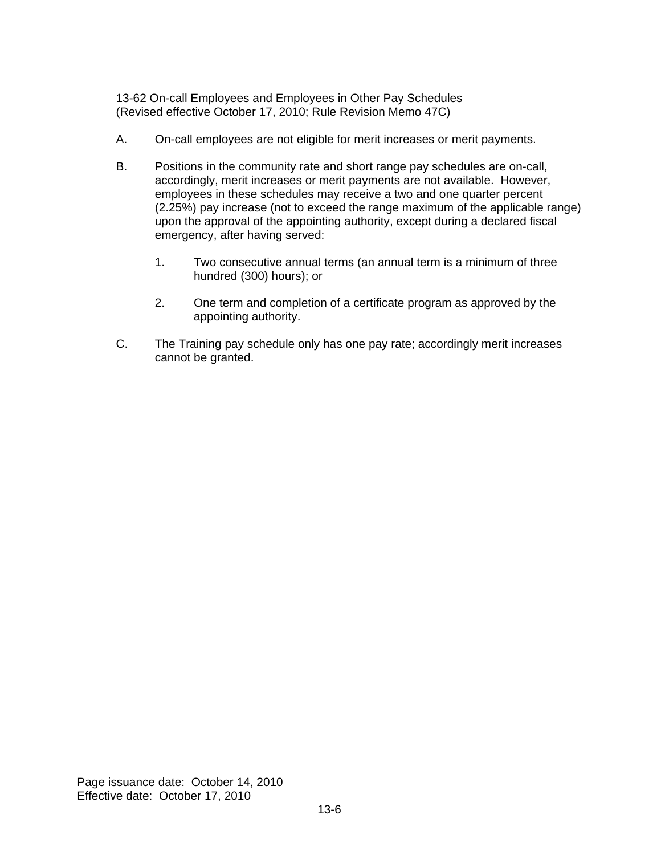13-62 On-call Employees and Employees in Other Pay Schedules (Revised effective October 17, 2010; Rule Revision Memo 47C)

- A. On-call employees are not eligible for merit increases or merit payments.
- B. Positions in the community rate and short range pay schedules are on-call, accordingly, merit increases or merit payments are not available. However, employees in these schedules may receive a two and one quarter percent (2.25%) pay increase (not to exceed the range maximum of the applicable range) upon the approval of the appointing authority, except during a declared fiscal emergency, after having served:
	- 1. Two consecutive annual terms (an annual term is a minimum of three hundred (300) hours); or
	- 2. One term and completion of a certificate program as approved by the appointing authority.
- C. The Training pay schedule only has one pay rate; accordingly merit increases cannot be granted.